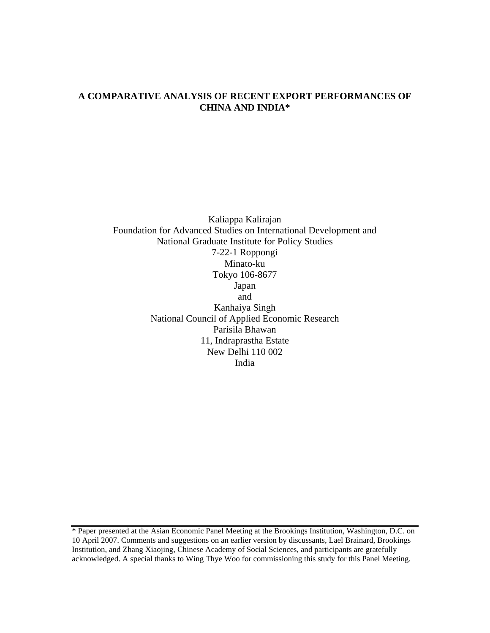### **A COMPARATIVE ANALYSIS OF RECENT EXPORT PERFORMANCES OF CHINA AND INDIA\***

Kaliappa Kalirajan Foundation for Advanced Studies on International Development and National Graduate Institute for Policy Studies 7-22-1 Roppongi Minato-ku Tokyo 106-8677 Japan and Kanhaiya Singh National Council of Applied Economic Research Parisila Bhawan 11, Indraprastha Estate New Delhi 110 002 India

<sup>\*</sup> Paper presented at the Asian Economic Panel Meeting at the Brookings Institution, Washington, D.C. on 10 April 2007. Comments and suggestions on an earlier version by discussants, Lael Brainard, Brookings Institution, and Zhang Xiaojing, Chinese Academy of Social Sciences, and participants are gratefully acknowledged. A special thanks to Wing Thye Woo for commissioning this study for this Panel Meeting.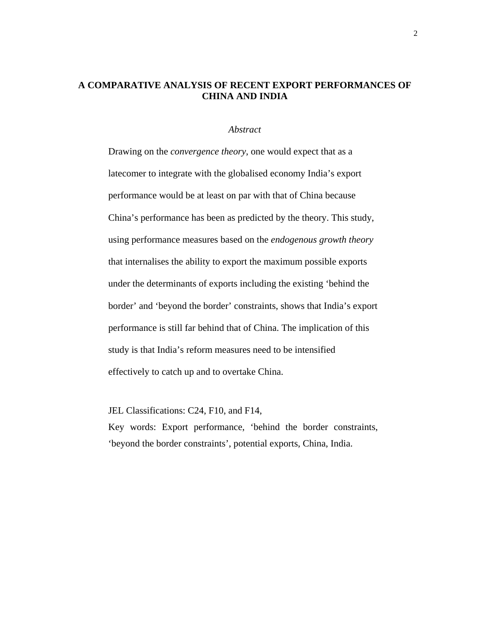## **A COMPARATIVE ANALYSIS OF RECENT EXPORT PERFORMANCES OF CHINA AND INDIA**

#### *Abstract*

Drawing on the *convergence theory*, one would expect that as a latecomer to integrate with the globalised economy India's export performance would be at least on par with that of China because China's performance has been as predicted by the theory. This study, using performance measures based on the *endogenous growth theory* that internalises the ability to export the maximum possible exports under the determinants of exports including the existing 'behind the border' and 'beyond the border' constraints, shows that India's export performance is still far behind that of China. The implication of this study is that India's reform measures need to be intensified effectively to catch up and to overtake China.

JEL Classifications: C24, F10, and F14,

Key words: Export performance, 'behind the border constraints, 'beyond the border constraints', potential exports, China, India.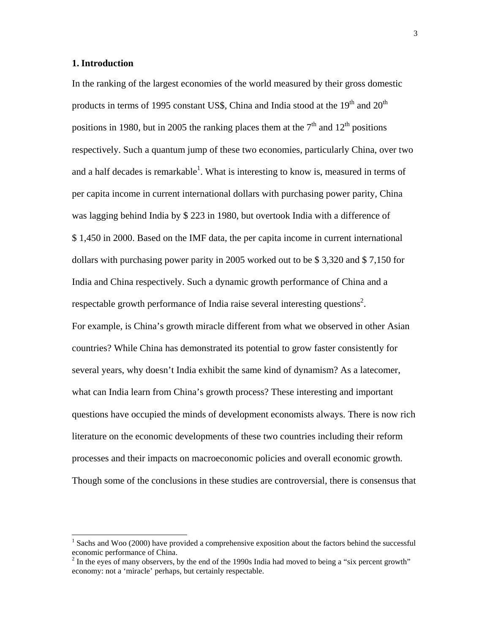### **1. Introduction**

In the ranking of the largest economies of the world measured by their gross domestic products in terms of 1995 constant US\$, China and India stood at the  $19<sup>th</sup>$  and  $20<sup>th</sup>$ positions in 1980, but in 2005 the ranking places them at the  $7<sup>th</sup>$  and  $12<sup>th</sup>$  positions respectively. Such a quantum jump of these two economies, particularly China, over two and a half decades is remarkable<sup>1</sup>. What is interesting to know is, measured in terms of per capita income in current international dollars with purchasing power parity, China was lagging behind India by \$ 223 in 1980, but overtook India with a difference of \$ 1,450 in 2000. Based on the IMF data, the per capita income in current international dollars with purchasing power parity in 2005 worked out to be \$ 3,320 and \$ 7,150 for India and China respectively. Such a dynamic growth performance of China and a respectable growth performance of India raise several interesting questions<sup>2</sup>. For example, is China's growth miracle different from what we observed in other Asian countries? While China has demonstrated its potential to grow faster consistently for several years, why doesn't India exhibit the same kind of dynamism? As a latecomer, what can India learn from China's growth process? These interesting and important questions have occupied the minds of development economists always. There is now rich literature on the economic developments of these two countries including their reform processes and their impacts on macroeconomic policies and overall economic growth. Though some of the conclusions in these studies are controversial, there is consensus that

 $\frac{1}{1}$ <sup>1</sup> Sachs and Woo (2000) have provided a comprehensive exposition about the factors behind the successful economic performance of China.<br><sup>2</sup> In the eyes of many observers, by the end of the 1990s India had moved to being a "six percent growth"

economy: not a 'miracle' perhaps, but certainly respectable.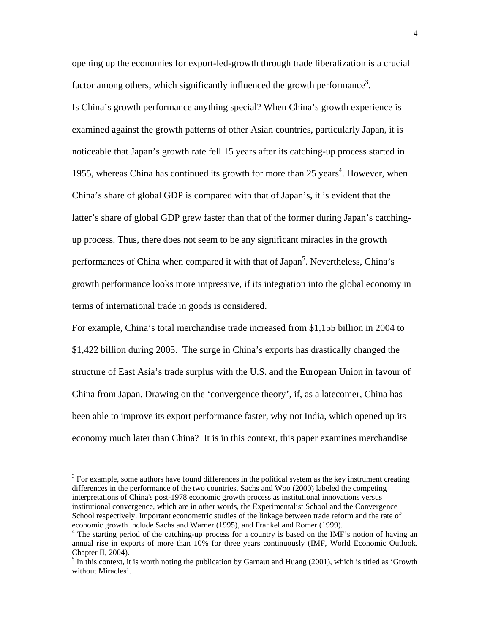opening up the economies for export-led-growth through trade liberalization is a crucial factor among others, which significantly influenced the growth performance<sup>3</sup>.

Is China's growth performance anything special? When China's growth experience is examined against the growth patterns of other Asian countries, particularly Japan, it is noticeable that Japan's growth rate fell 15 years after its catching-up process started in 1955, whereas China has continued its growth for more than 25 years<sup>4</sup>. However, when China's share of global GDP is compared with that of Japan's, it is evident that the latter's share of global GDP grew faster than that of the former during Japan's catchingup process. Thus, there does not seem to be any significant miracles in the growth performances of China when compared it with that of Japan<sup>5</sup>. Nevertheless, China's growth performance looks more impressive, if its integration into the global economy in terms of international trade in goods is considered.

For example, China's total merchandise trade increased from \$1,155 billion in 2004 to \$1,422 billion during 2005. The surge in China's exports has drastically changed the structure of East Asia's trade surplus with the U.S. and the European Union in favour of China from Japan. Drawing on the 'convergence theory', if, as a latecomer, China has been able to improve its export performance faster, why not India, which opened up its economy much later than China? It is in this context, this paper examines merchandise

 <sup>3</sup>  $3$  For example, some authors have found differences in the political system as the key instrument creating differences in the performance of the two countries. Sachs and Woo (2000) labeled the competing interpretations of China's post-1978 economic growth process as institutional innovations versus institutional convergence, which are in other words, the Experimentalist School and the Convergence School respectively. Important econometric studies of the linkage between trade reform and the rate of economic growth include Sachs and Warner (1995), and Frankel and Romer (1999).

<sup>&</sup>lt;sup>4</sup> The starting period of the catching-up process for a country is based on the IMF's notion of having an annual rise in exports of more than 10% for three years continuously (IMF, World Economic Outlook, Chapter II,  $2004$ ).

 $<sup>5</sup>$  In this context, it is worth noting the publication by Garnaut and Huang (2001), which is titled as 'Growth</sup> without Miracles'.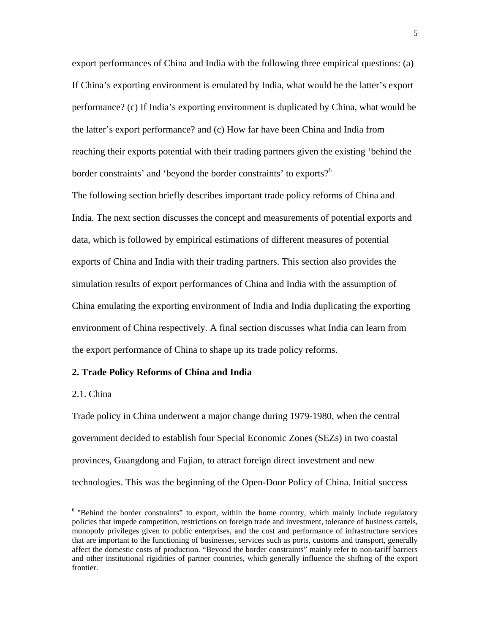export performances of China and India with the following three empirical questions: (a) If China's exporting environment is emulated by India, what would be the latter's export performance? (c) If India's exporting environment is duplicated by China, what would be the latter's export performance? and (c) How far have been China and India from reaching their exports potential with their trading partners given the existing 'behind the border constraints' and 'beyond the border constraints' to exports?<sup>6</sup>

The following section briefly describes important trade policy reforms of China and India. The next section discusses the concept and measurements of potential exports and data, which is followed by empirical estimations of different measures of potential exports of China and India with their trading partners. This section also provides the simulation results of export performances of China and India with the assumption of China emulating the exporting environment of India and India duplicating the exporting environment of China respectively. A final section discusses what India can learn from the export performance of China to shape up its trade policy reforms.

#### **2. Trade Policy Reforms of China and India**

#### 2.1. China

Trade policy in China underwent a major change during 1979-1980, when the central government decided to establish four Special Economic Zones (SEZs) in two coastal provinces, Guangdong and Fujian, to attract foreign direct investment and new technologies. This was the beginning of the Open-Door Policy of China. Initial success

<sup>&</sup>lt;sup>6</sup> "Behind the border constraints" to export, within the home country, which mainly include regulatory policies that impede competition, restrictions on foreign trade and investment, tolerance of business cartels, monopoly privileges given to public enterprises, and the cost and performance of infrastructure services that are important to the functioning of businesses, services such as ports, customs and transport, generally affect the domestic costs of production. "Beyond the border constraints" mainly refer to non-tariff barriers and other institutional rigidities of partner countries, which generally influence the shifting of the export frontier.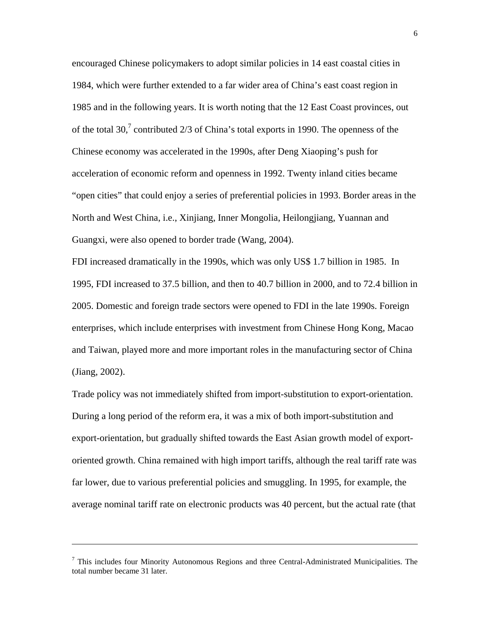encouraged Chinese policymakers to adopt similar policies in 14 east coastal cities in 1984, which were further extended to a far wider area of China's east coast region in 1985 and in the following years. It is worth noting that the 12 East Coast provinces, out of the total 30,<sup>7</sup> contributed 2/3 of China's total exports in 1990. The openness of the Chinese economy was accelerated in the 1990s, after Deng Xiaoping's push for acceleration of economic reform and openness in 1992. Twenty inland cities became "open cities" that could enjoy a series of preferential policies in 1993. Border areas in the North and West China, i.e., Xinjiang, Inner Mongolia, Heilongjiang, Yuannan and Guangxi, were also opened to border trade (Wang, 2004).

FDI increased dramatically in the 1990s, which was only US\$ 1.7 billion in 1985. In 1995, FDI increased to 37.5 billion, and then to 40.7 billion in 2000, and to 72.4 billion in 2005. Domestic and foreign trade sectors were opened to FDI in the late 1990s. Foreign enterprises, which include enterprises with investment from Chinese Hong Kong, Macao and Taiwan, played more and more important roles in the manufacturing sector of China (Jiang, 2002).

Trade policy was not immediately shifted from import-substitution to export-orientation. During a long period of the reform era, it was a mix of both import-substitution and export-orientation, but gradually shifted towards the East Asian growth model of exportoriented growth. China remained with high import tariffs, although the real tariff rate was far lower, due to various preferential policies and smuggling. In 1995, for example, the average nominal tariff rate on electronic products was 40 percent, but the actual rate (that

l

 $<sup>7</sup>$  This includes four Minority Autonomous Regions and three Central-Administrated Municipalities. The</sup> total number became 31 later.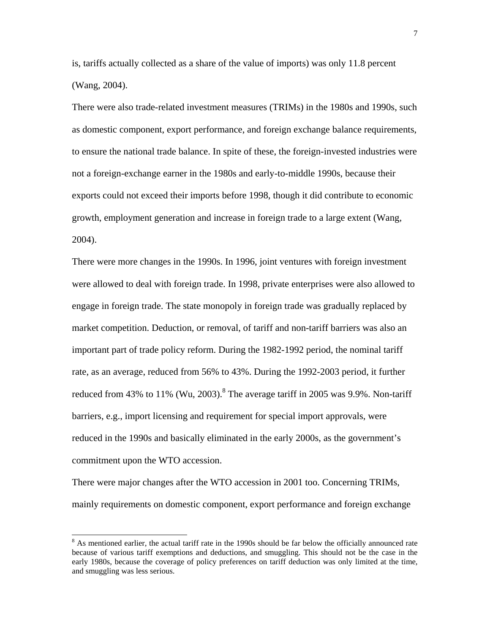is, tariffs actually collected as a share of the value of imports) was only 11.8 percent (Wang, 2004).

There were also trade-related investment measures (TRIMs) in the 1980s and 1990s, such as domestic component, export performance, and foreign exchange balance requirements, to ensure the national trade balance. In spite of these, the foreign-invested industries were not a foreign-exchange earner in the 1980s and early-to-middle 1990s, because their exports could not exceed their imports before 1998, though it did contribute to economic growth, employment generation and increase in foreign trade to a large extent (Wang, 2004).

There were more changes in the 1990s. In 1996, joint ventures with foreign investment were allowed to deal with foreign trade. In 1998, private enterprises were also allowed to engage in foreign trade. The state monopoly in foreign trade was gradually replaced by market competition. Deduction, or removal, of tariff and non-tariff barriers was also an important part of trade policy reform. During the 1982-1992 period, the nominal tariff rate, as an average, reduced from 56% to 43%. During the 1992-2003 period, it further reduced from 43% to 11% (Wu, 2003).<sup>8</sup> The average tariff in 2005 was 9.9%. Non-tariff barriers, e.g., import licensing and requirement for special import approvals, were reduced in the 1990s and basically eliminated in the early 2000s, as the government's commitment upon the WTO accession.

There were major changes after the WTO accession in 2001 too. Concerning TRIMs, mainly requirements on domestic component, export performance and foreign exchange

 <sup>8</sup> <sup>8</sup> As mentioned earlier, the actual tariff rate in the 1990s should be far below the officially announced rate because of various tariff exemptions and deductions, and smuggling. This should not be the case in the early 1980s, because the coverage of policy preferences on tariff deduction was only limited at the time, and smuggling was less serious.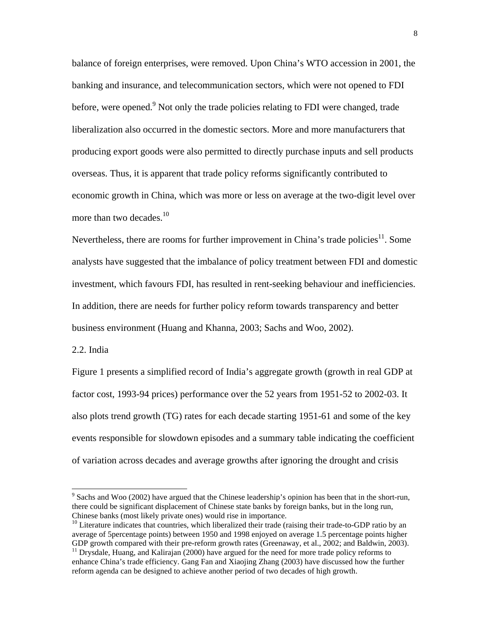balance of foreign enterprises, were removed. Upon China's WTO accession in 2001, the banking and insurance, and telecommunication sectors, which were not opened to FDI before, were opened. <sup>9</sup> Not only the trade policies relating to FDI were changed, trade liberalization also occurred in the domestic sectors. More and more manufacturers that producing export goods were also permitted to directly purchase inputs and sell products overseas. Thus, it is apparent that trade policy reforms significantly contributed to economic growth in China, which was more or less on average at the two-digit level over more than two decades.<sup>10</sup>

Nevertheless, there are rooms for further improvement in China's trade policies<sup>11</sup>. Some analysts have suggested that the imbalance of policy treatment between FDI and domestic investment, which favours FDI, has resulted in rent-seeking behaviour and inefficiencies. In addition, there are needs for further policy reform towards transparency and better business environment (Huang and Khanna, 2003; Sachs and Woo, 2002).

#### 2.2. India

Figure 1 presents a simplified record of India's aggregate growth (growth in real GDP at factor cost, 1993-94 prices) performance over the 52 years from 1951-52 to 2002-03. It also plots trend growth (TG) rates for each decade starting 1951-61 and some of the key events responsible for slowdown episodes and a summary table indicating the coefficient of variation across decades and average growths after ignoring the drought and crisis

<sup>.&</sup>lt;br>9  $\degree$  Sachs and Woo (2002) have argued that the Chinese leadership's opinion has been that in the short-run, there could be significant displacement of Chinese state banks by foreign banks, but in the long run,

Chinese banks (most likely private ones) would rise in importance.<br><sup>10</sup> Literature indicates that countries, which liberalized their trade (raising their trade-to-GDP ratio by an average of 5percentage points) between 1950 and 1998 enjoyed on average 1.5 percentage points higher GDP growth compared with their pre-reform growth rates (Greenaway, et al., 2002; and Baldwin, 2003).<br><sup>11</sup> Drysdale, Huang, and Kalirajan (2000) have argued for the need for more trade policy reforms to

enhance China's trade efficiency. Gang Fan and Xiaojing Zhang (2003) have discussed how the further reform agenda can be designed to achieve another period of two decades of high growth.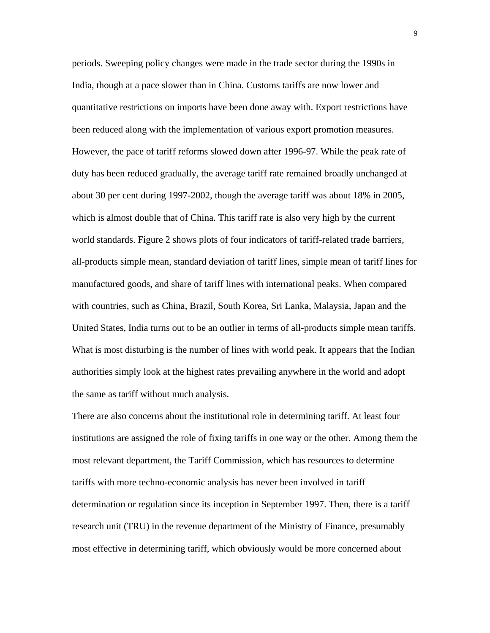periods. Sweeping policy changes were made in the trade sector during the 1990s in India, though at a pace slower than in China. Customs tariffs are now lower and quantitative restrictions on imports have been done away with. Export restrictions have been reduced along with the implementation of various export promotion measures. However, the pace of tariff reforms slowed down after 1996-97. While the peak rate of duty has been reduced gradually, the average tariff rate remained broadly unchanged at about 30 per cent during 1997-2002, though the average tariff was about 18% in 2005, which is almost double that of China. This tariff rate is also very high by the current world standards. Figure 2 shows plots of four indicators of tariff-related trade barriers, all-products simple mean, standard deviation of tariff lines, simple mean of tariff lines for manufactured goods, and share of tariff lines with international peaks. When compared with countries, such as China, Brazil, South Korea, Sri Lanka, Malaysia, Japan and the United States, India turns out to be an outlier in terms of all-products simple mean tariffs. What is most disturbing is the number of lines with world peak. It appears that the Indian authorities simply look at the highest rates prevailing anywhere in the world and adopt the same as tariff without much analysis.

There are also concerns about the institutional role in determining tariff. At least four institutions are assigned the role of fixing tariffs in one way or the other. Among them the most relevant department, the Tariff Commission, which has resources to determine tariffs with more techno-economic analysis has never been involved in tariff determination or regulation since its inception in September 1997. Then, there is a tariff research unit (TRU) in the revenue department of the Ministry of Finance, presumably most effective in determining tariff, which obviously would be more concerned about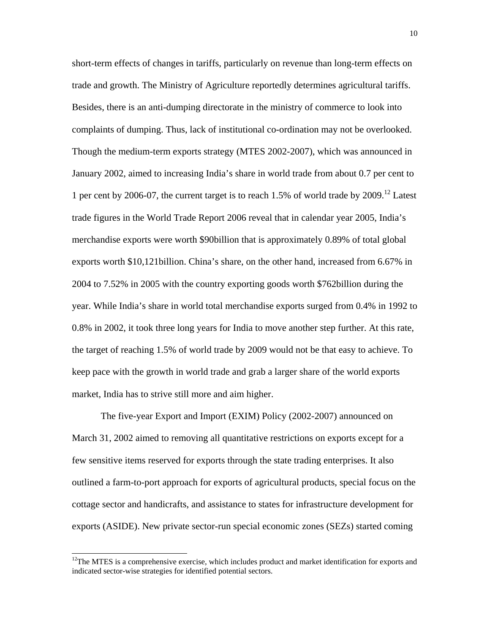short-term effects of changes in tariffs, particularly on revenue than long-term effects on trade and growth. The Ministry of Agriculture reportedly determines agricultural tariffs. Besides, there is an anti-dumping directorate in the ministry of commerce to look into complaints of dumping. Thus, lack of institutional co-ordination may not be overlooked. Though the medium-term exports strategy (MTES 2002-2007), which was announced in January 2002, aimed to increasing India's share in world trade from about 0.7 per cent to 1 per cent by 2006-07, the current target is to reach 1.5% of world trade by 2009.12 Latest trade figures in the World Trade Report 2006 reveal that in calendar year 2005, India's merchandise exports were worth \$90billion that is approximately 0.89% of total global exports worth \$10,121billion. China's share, on the other hand, increased from 6.67% in 2004 to 7.52% in 2005 with the country exporting goods worth \$762billion during the year. While India's share in world total merchandise exports surged from 0.4% in 1992 to 0.8% in 2002, it took three long years for India to move another step further. At this rate, the target of reaching 1.5% of world trade by 2009 would not be that easy to achieve. To keep pace with the growth in world trade and grab a larger share of the world exports market, India has to strive still more and aim higher.

 The five-year Export and Import (EXIM) Policy (2002-2007) announced on March 31, 2002 aimed to removing all quantitative restrictions on exports except for a few sensitive items reserved for exports through the state trading enterprises. It also outlined a farm-to-port approach for exports of agricultural products, special focus on the cottage sector and handicrafts, and assistance to states for infrastructure development for exports (ASIDE). New private sector-run special economic zones (SEZs) started coming

<sup>&</sup>lt;sup>12</sup>The MTES is a comprehensive exercise, which includes product and market identification for exports and indicated sector-wise strategies for identified potential sectors.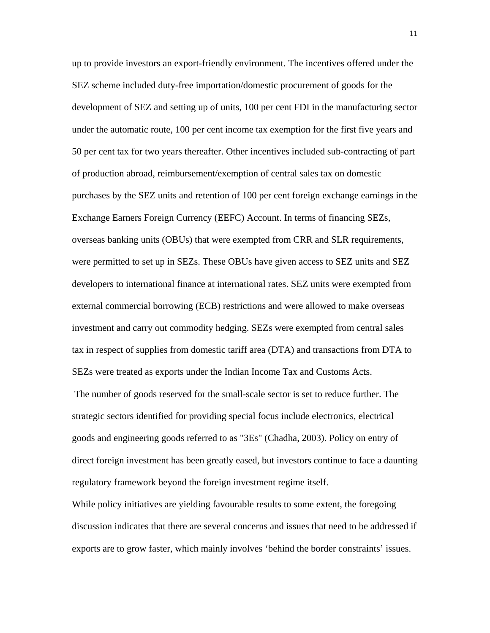up to provide investors an export-friendly environment. The incentives offered under the SEZ scheme included duty-free importation/domestic procurement of goods for the development of SEZ and setting up of units, 100 per cent FDI in the manufacturing sector under the automatic route, 100 per cent income tax exemption for the first five years and 50 per cent tax for two years thereafter. Other incentives included sub-contracting of part of production abroad, reimbursement/exemption of central sales tax on domestic purchases by the SEZ units and retention of 100 per cent foreign exchange earnings in the Exchange Earners Foreign Currency (EEFC) Account. In terms of financing SEZs, overseas banking units (OBUs) that were exempted from CRR and SLR requirements, were permitted to set up in SEZs. These OBUs have given access to SEZ units and SEZ developers to international finance at international rates. SEZ units were exempted from external commercial borrowing (ECB) restrictions and were allowed to make overseas investment and carry out commodity hedging. SEZs were exempted from central sales tax in respect of supplies from domestic tariff area (DTA) and transactions from DTA to SEZs were treated as exports under the Indian Income Tax and Customs Acts.

 The number of goods reserved for the small-scale sector is set to reduce further. The strategic sectors identified for providing special focus include electronics, electrical goods and engineering goods referred to as "3Es" (Chadha, 2003). Policy on entry of direct foreign investment has been greatly eased, but investors continue to face a daunting regulatory framework beyond the foreign investment regime itself.

While policy initiatives are yielding favourable results to some extent, the foregoing discussion indicates that there are several concerns and issues that need to be addressed if exports are to grow faster, which mainly involves 'behind the border constraints' issues.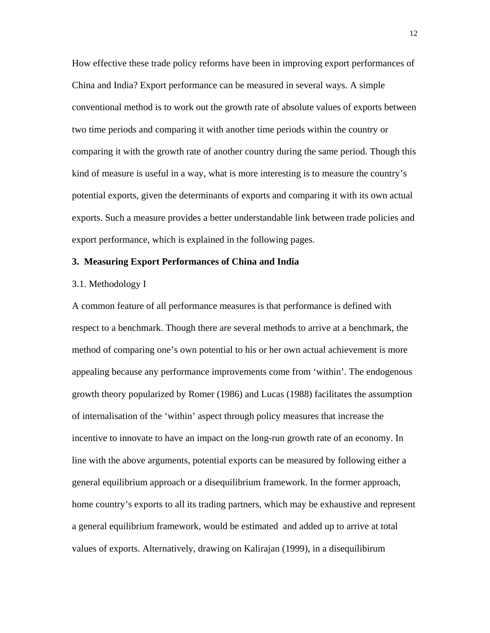How effective these trade policy reforms have been in improving export performances of China and India? Export performance can be measured in several ways. A simple conventional method is to work out the growth rate of absolute values of exports between two time periods and comparing it with another time periods within the country or comparing it with the growth rate of another country during the same period. Though this kind of measure is useful in a way, what is more interesting is to measure the country's potential exports, given the determinants of exports and comparing it with its own actual exports. Such a measure provides a better understandable link between trade policies and export performance, which is explained in the following pages.

#### **3. Measuring Export Performances of China and India**

#### 3.1. Methodology I

A common feature of all performance measures is that performance is defined with respect to a benchmark. Though there are several methods to arrive at a benchmark, the method of comparing one's own potential to his or her own actual achievement is more appealing because any performance improvements come from 'within'. The endogenous growth theory popularized by Romer (1986) and Lucas (1988) facilitates the assumption of internalisation of the 'within' aspect through policy measures that increase the incentive to innovate to have an impact on the long-run growth rate of an economy. In line with the above arguments, potential exports can be measured by following either a general equilibrium approach or a disequilibrium framework. In the former approach, home country's exports to all its trading partners, which may be exhaustive and represent a general equilibrium framework, would be estimated and added up to arrive at total values of exports. Alternatively, drawing on Kalirajan (1999), in a disequilibirum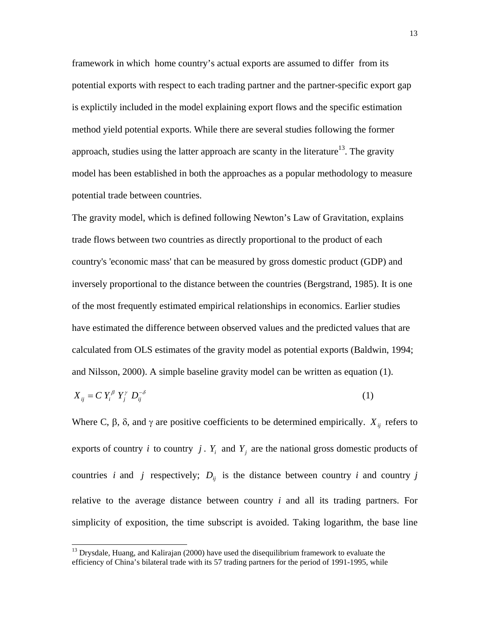framework in which home country's actual exports are assumed to differ from its potential exports with respect to each trading partner and the partner-specific export gap is explictily included in the model explaining export flows and the specific estimation method yield potential exports. While there are several studies following the former approach, studies using the latter approach are scanty in the literature<sup>13</sup>. The gravity model has been established in both the approaches as a popular methodology to measure potential trade between countries.

The gravity model, which is defined following Newton's Law of Gravitation, explains trade flows between two countries as directly proportional to the product of each country's 'economic mass' that can be measured by gross domestic product (GDP) and inversely proportional to the distance between the countries (Bergstrand, 1985). It is one of the most frequently estimated empirical relationships in economics. Earlier studies have estimated the difference between observed values and the predicted values that are calculated from OLS estimates of the gravity model as potential exports (Baldwin, 1994; and Nilsson, 2000). A simple baseline gravity model can be written as equation (1).

$$
X_{ij} = C Y_i^{\beta} Y_j^{\gamma} D_{ij}^{-\delta} \tag{1}
$$

Where C,  $\beta$ ,  $\delta$ , and  $\gamma$  are positive coefficients to be determined empirically.  $X_{ij}$  refers to exports of country i to country j.  $Y_i$  and  $Y_j$  are the national gross domestic products of countries *i* and *j* respectively;  $D_{ij}$  is the distance between country *i* and country *j* relative to the average distance between country *i* and all its trading partners. For simplicity of exposition, the time subscript is avoided. Taking logarithm, the base line

 $<sup>13</sup>$  Drysdale, Huang, and Kalirajan (2000) have used the disequilibrium framework to evaluate the</sup> efficiency of China's bilateral trade with its 57 trading partners for the period of 1991-1995, while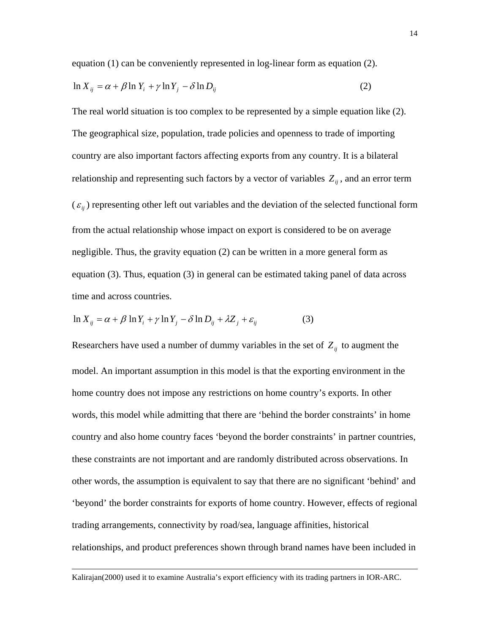equation (1) can be conveniently represented in log-linear form as equation (2).

$$
\ln X_{ij} = \alpha + \beta \ln Y_i + \gamma \ln Y_j - \delta \ln D_{ij}
$$
 (2)

The real world situation is too complex to be represented by a simple equation like (2). The geographical size, population, trade policies and openness to trade of importing country are also important factors affecting exports from any country. It is a bilateral relationship and representing such factors by a vector of variables  $Z_{ij}$ , and an error term  $(\varepsilon_{ij})$  representing other left out variables and the deviation of the selected functional form from the actual relationship whose impact on export is considered to be on average negligible. Thus, the gravity equation (2) can be written in a more general form as equation (3). Thus, equation (3) in general can be estimated taking panel of data across time and across countries.

$$
\ln X_{ij} = \alpha + \beta \ln Y_i + \gamma \ln Y_j - \delta \ln D_{ij} + \lambda Z_j + \varepsilon_{ij}
$$
 (3)

Researchers have used a number of dummy variables in the set of  $Z_{ij}$  to augment the model. An important assumption in this model is that the exporting environment in the home country does not impose any restrictions on home country's exports. In other words, this model while admitting that there are 'behind the border constraints' in home country and also home country faces 'beyond the border constraints' in partner countries, these constraints are not important and are randomly distributed across observations. In other words, the assumption is equivalent to say that there are no significant 'behind' and 'beyond' the border constraints for exports of home country. However, effects of regional trading arrangements, connectivity by road/sea, language affinities, historical relationships, and product preferences shown through brand names have been included in

 $\overline{a}$ 

Kalirajan(2000) used it to examine Australia's export efficiency with its trading partners in IOR-ARC.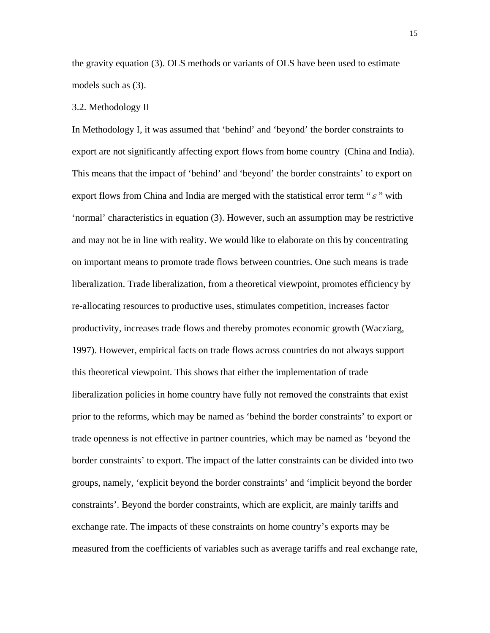the gravity equation (3). OLS methods or variants of OLS have been used to estimate models such as (3).

#### 3.2. Methodology II

In Methodology I, it was assumed that 'behind' and 'beyond' the border constraints to export are not significantly affecting export flows from home country (China and India). This means that the impact of 'behind' and 'beyond' the border constraints' to export on export flows from China and India are merged with the statistical error term " $\varepsilon$ " with 'normal' characteristics in equation (3). However, such an assumption may be restrictive and may not be in line with reality. We would like to elaborate on this by concentrating on important means to promote trade flows between countries. One such means is trade liberalization. Trade liberalization, from a theoretical viewpoint, promotes efficiency by re-allocating resources to productive uses, stimulates competition, increases factor productivity, increases trade flows and thereby promotes economic growth (Wacziarg, 1997). However, empirical facts on trade flows across countries do not always support this theoretical viewpoint. This shows that either the implementation of trade liberalization policies in home country have fully not removed the constraints that exist prior to the reforms, which may be named as 'behind the border constraints' to export or trade openness is not effective in partner countries, which may be named as 'beyond the border constraints' to export. The impact of the latter constraints can be divided into two groups, namely, 'explicit beyond the border constraints' and 'implicit beyond the border constraints'. Beyond the border constraints, which are explicit, are mainly tariffs and exchange rate. The impacts of these constraints on home country's exports may be measured from the coefficients of variables such as average tariffs and real exchange rate,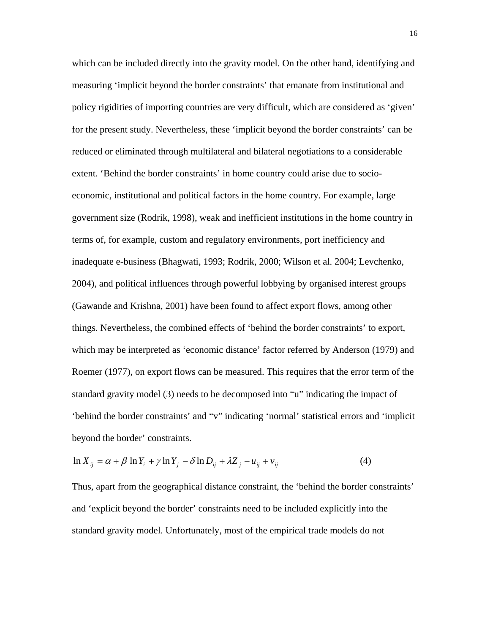which can be included directly into the gravity model. On the other hand, identifying and measuring 'implicit beyond the border constraints' that emanate from institutional and policy rigidities of importing countries are very difficult, which are considered as 'given' for the present study. Nevertheless, these 'implicit beyond the border constraints' can be reduced or eliminated through multilateral and bilateral negotiations to a considerable extent. 'Behind the border constraints' in home country could arise due to socioeconomic, institutional and political factors in the home country. For example, large government size (Rodrik, 1998), weak and inefficient institutions in the home country in terms of, for example, custom and regulatory environments, port inefficiency and inadequate e-business (Bhagwati, 1993; Rodrik, 2000; Wilson et al. 2004; Levchenko, 2004), and political influences through powerful lobbying by organised interest groups (Gawande and Krishna, 2001) have been found to affect export flows, among other things. Nevertheless, the combined effects of 'behind the border constraints' to export, which may be interpreted as 'economic distance' factor referred by Anderson (1979) and Roemer (1977), on export flows can be measured. This requires that the error term of the standard gravity model (3) needs to be decomposed into "u" indicating the impact of 'behind the border constraints' and "v" indicating 'normal' statistical errors and 'implicit beyond the border' constraints.

$$
\ln X_{ij} = \alpha + \beta \ln Y_i + \gamma \ln Y_j - \delta \ln D_{ij} + \lambda Z_j - u_{ij} + v_{ij}
$$
\n<sup>(4)</sup>

Thus, apart from the geographical distance constraint, the 'behind the border constraints' and 'explicit beyond the border' constraints need to be included explicitly into the standard gravity model. Unfortunately, most of the empirical trade models do not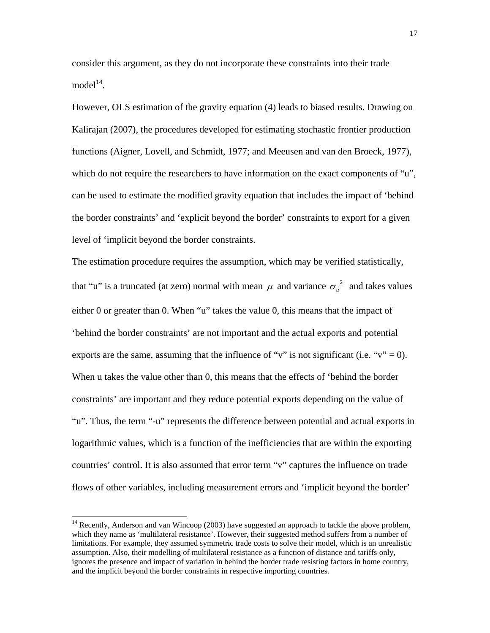consider this argument, as they do not incorporate these constraints into their trade model $14$ .

However, OLS estimation of the gravity equation (4) leads to biased results. Drawing on Kalirajan (2007), the procedures developed for estimating stochastic frontier production functions (Aigner, Lovell, and Schmidt, 1977; and Meeusen and van den Broeck, 1977), which do not require the researchers to have information on the exact components of "u", can be used to estimate the modified gravity equation that includes the impact of 'behind the border constraints' and 'explicit beyond the border' constraints to export for a given level of 'implicit beyond the border constraints.

The estimation procedure requires the assumption, which may be verified statistically, that "u" is a truncated (at zero) normal with mean  $\mu$  and variance  $\sigma_u^2$  and takes values either 0 or greater than 0. When "u" takes the value 0, this means that the impact of 'behind the border constraints' are not important and the actual exports and potential exports are the same, assuming that the influence of "v" is not significant (i.e. "v" = 0). When u takes the value other than 0, this means that the effects of 'behind the border constraints' are important and they reduce potential exports depending on the value of "u". Thus, the term "-u" represents the difference between potential and actual exports in logarithmic values, which is a function of the inefficiencies that are within the exporting countries' control. It is also assumed that error term "v" captures the influence on trade flows of other variables, including measurement errors and 'implicit beyond the border'

<sup>&</sup>lt;sup>14</sup> Recently, Anderson and van Wincoop (2003) have suggested an approach to tackle the above problem, which they name as 'multilateral resistance'. However, their suggested method suffers from a number of limitations. For example, they assumed symmetric trade costs to solve their model, which is an unrealistic assumption. Also, their modelling of multilateral resistance as a function of distance and tariffs only, ignores the presence and impact of variation in behind the border trade resisting factors in home country, and the implicit beyond the border constraints in respective importing countries.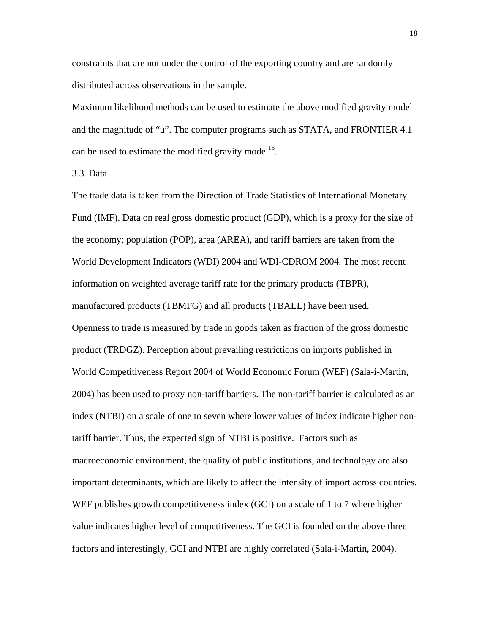constraints that are not under the control of the exporting country and are randomly distributed across observations in the sample.

Maximum likelihood methods can be used to estimate the above modified gravity model and the magnitude of "u". The computer programs such as STATA, and FRONTIER 4.1 can be used to estimate the modified gravity model<sup>15</sup>.

3.3. Data

The trade data is taken from the Direction of Trade Statistics of International Monetary Fund (IMF). Data on real gross domestic product (GDP), which is a proxy for the size of the economy; population (POP), area (AREA), and tariff barriers are taken from the World Development Indicators (WDI) 2004 and WDI-CDROM 2004. The most recent information on weighted average tariff rate for the primary products (TBPR), manufactured products (TBMFG) and all products (TBALL) have been used. Openness to trade is measured by trade in goods taken as fraction of the gross domestic product (TRDGZ). Perception about prevailing restrictions on imports published in World Competitiveness Report 2004 of World Economic Forum (WEF) (Sala-i-Martin, 2004) has been used to proxy non-tariff barriers. The non-tariff barrier is calculated as an index (NTBI) on a scale of one to seven where lower values of index indicate higher nontariff barrier. Thus, the expected sign of NTBI is positive. Factors such as macroeconomic environment, the quality of public institutions, and technology are also important determinants, which are likely to affect the intensity of import across countries. WEF publishes growth competitiveness index (GCI) on a scale of 1 to 7 where higher value indicates higher level of competitiveness. The GCI is founded on the above three factors and interestingly, GCI and NTBI are highly correlated (Sala-i-Martin, 2004).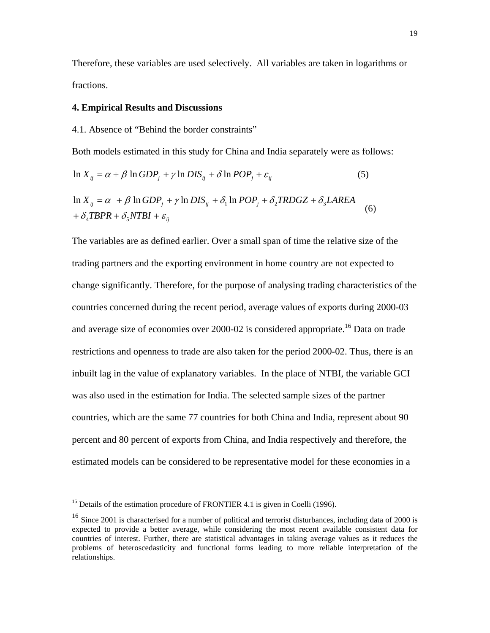Therefore, these variables are used selectively. All variables are taken in logarithms or fractions.

#### **4. Empirical Results and Discussions**

#### 4.1. Absence of "Behind the border constraints"

Both models estimated in this study for China and India separately were as follows:

$$
\ln X_{ij} = \alpha + \beta \ln GDP_j + \gamma \ln DIS_{ij} + \delta \ln POP_j + \varepsilon_{ij}
$$
\n(5)

$$
\ln X_{ij} = \alpha + \beta \ln GDP_j + \gamma \ln DIS_{ij} + \delta_1 \ln POP_j + \delta_2 TRDGZ + \delta_3 L AREA
$$
  
+  $\delta_4 TBPR + \delta_5 NTBI + \varepsilon_{ij}$  (6)

The variables are as defined earlier. Over a small span of time the relative size of the trading partners and the exporting environment in home country are not expected to change significantly. Therefore, for the purpose of analysing trading characteristics of the countries concerned during the recent period, average values of exports during 2000-03 and average size of economies over  $2000-02$  is considered appropriate.<sup>16</sup> Data on trade restrictions and openness to trade are also taken for the period 2000-02. Thus, there is an inbuilt lag in the value of explanatory variables. In the place of NTBI, the variable GCI was also used in the estimation for India. The selected sample sizes of the partner countries, which are the same 77 countries for both China and India, represent about 90 percent and 80 percent of exports from China, and India respectively and therefore, the estimated models can be considered to be representative model for these economies in a

<sup>&</sup>lt;sup>15</sup> Details of the estimation procedure of FRONTIER 4.1 is given in Coelli (1996).

<sup>&</sup>lt;sup>16</sup> Since 2001 is characterised for a number of political and terrorist disturbances, including data of 2000 is expected to provide a better average, while considering the most recent available consistent data for countries of interest. Further, there are statistical advantages in taking average values as it reduces the problems of heteroscedasticity and functional forms leading to more reliable interpretation of the relationships.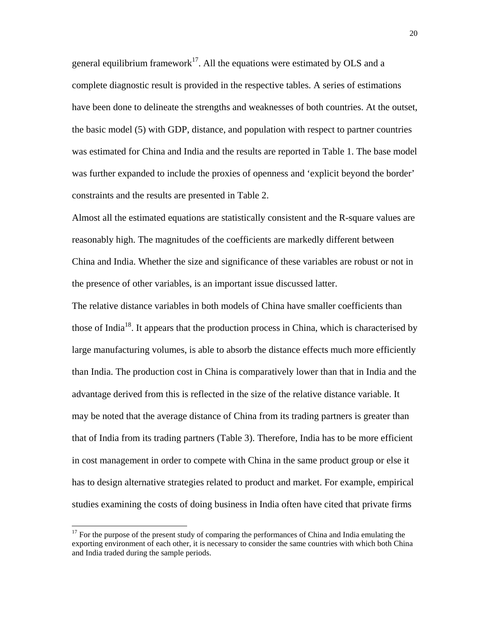general equilibrium framework<sup>17</sup>. All the equations were estimated by OLS and a complete diagnostic result is provided in the respective tables. A series of estimations have been done to delineate the strengths and weaknesses of both countries. At the outset, the basic model (5) with GDP, distance, and population with respect to partner countries was estimated for China and India and the results are reported in Table 1. The base model was further expanded to include the proxies of openness and 'explicit beyond the border' constraints and the results are presented in Table 2.

Almost all the estimated equations are statistically consistent and the R-square values are reasonably high. The magnitudes of the coefficients are markedly different between China and India. Whether the size and significance of these variables are robust or not in the presence of other variables, is an important issue discussed latter.

The relative distance variables in both models of China have smaller coefficients than those of India<sup>18</sup>. It appears that the production process in China, which is characterised by large manufacturing volumes, is able to absorb the distance effects much more efficiently than India. The production cost in China is comparatively lower than that in India and the advantage derived from this is reflected in the size of the relative distance variable. It may be noted that the average distance of China from its trading partners is greater than that of India from its trading partners (Table 3). Therefore, India has to be more efficient in cost management in order to compete with China in the same product group or else it has to design alternative strategies related to product and market. For example, empirical studies examining the costs of doing business in India often have cited that private firms

 $17$  For the purpose of the present study of comparing the performances of China and India emulating the exporting environment of each other, it is necessary to consider the same countries with which both China and India traded during the sample periods.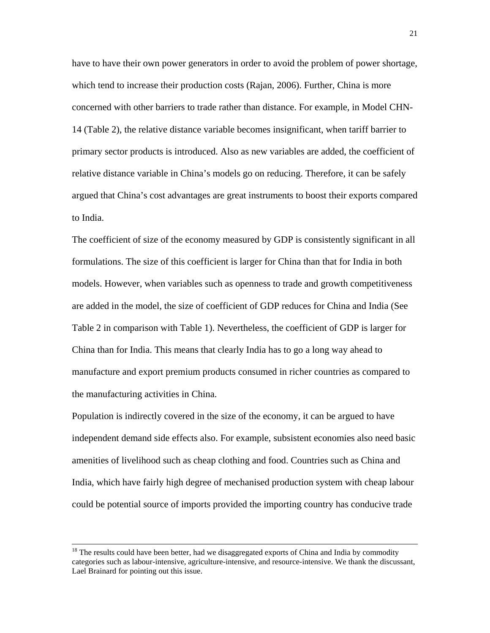have to have their own power generators in order to avoid the problem of power shortage, which tend to increase their production costs (Rajan, 2006). Further, China is more concerned with other barriers to trade rather than distance. For example, in Model CHN-14 (Table 2), the relative distance variable becomes insignificant, when tariff barrier to primary sector products is introduced. Also as new variables are added, the coefficient of relative distance variable in China's models go on reducing. Therefore, it can be safely argued that China's cost advantages are great instruments to boost their exports compared to India.

The coefficient of size of the economy measured by GDP is consistently significant in all formulations. The size of this coefficient is larger for China than that for India in both models. However, when variables such as openness to trade and growth competitiveness are added in the model, the size of coefficient of GDP reduces for China and India (See Table 2 in comparison with Table 1). Nevertheless, the coefficient of GDP is larger for China than for India. This means that clearly India has to go a long way ahead to manufacture and export premium products consumed in richer countries as compared to the manufacturing activities in China.

Population is indirectly covered in the size of the economy, it can be argued to have independent demand side effects also. For example, subsistent economies also need basic amenities of livelihood such as cheap clothing and food. Countries such as China and India, which have fairly high degree of mechanised production system with cheap labour could be potential source of imports provided the importing country has conducive trade

<sup>&</sup>lt;sup>18</sup> The results could have been better, had we disaggregated exports of China and India by commodity categories such as labour-intensive, agriculture-intensive, and resource-intensive. We thank the discussant, Lael Brainard for pointing out this issue.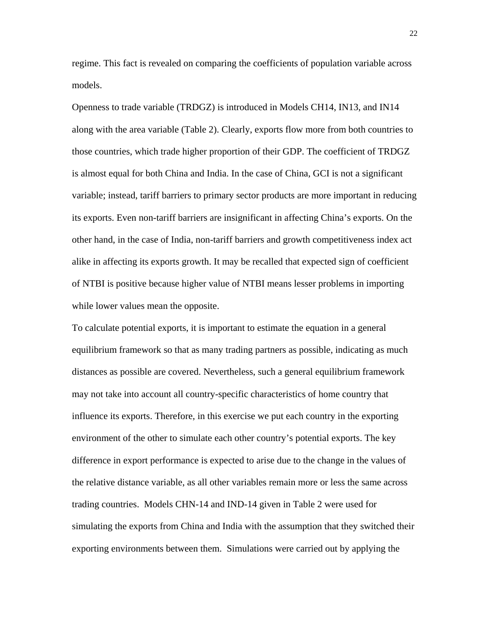regime. This fact is revealed on comparing the coefficients of population variable across models.

Openness to trade variable (TRDGZ) is introduced in Models CH14, IN13, and IN14 along with the area variable (Table 2). Clearly, exports flow more from both countries to those countries, which trade higher proportion of their GDP. The coefficient of TRDGZ is almost equal for both China and India. In the case of China, GCI is not a significant variable; instead, tariff barriers to primary sector products are more important in reducing its exports. Even non-tariff barriers are insignificant in affecting China's exports. On the other hand, in the case of India, non-tariff barriers and growth competitiveness index act alike in affecting its exports growth. It may be recalled that expected sign of coefficient of NTBI is positive because higher value of NTBI means lesser problems in importing while lower values mean the opposite.

To calculate potential exports, it is important to estimate the equation in a general equilibrium framework so that as many trading partners as possible, indicating as much distances as possible are covered. Nevertheless, such a general equilibrium framework may not take into account all country-specific characteristics of home country that influence its exports. Therefore, in this exercise we put each country in the exporting environment of the other to simulate each other country's potential exports. The key difference in export performance is expected to arise due to the change in the values of the relative distance variable, as all other variables remain more or less the same across trading countries. Models CHN-14 and IND-14 given in Table 2 were used for simulating the exports from China and India with the assumption that they switched their exporting environments between them. Simulations were carried out by applying the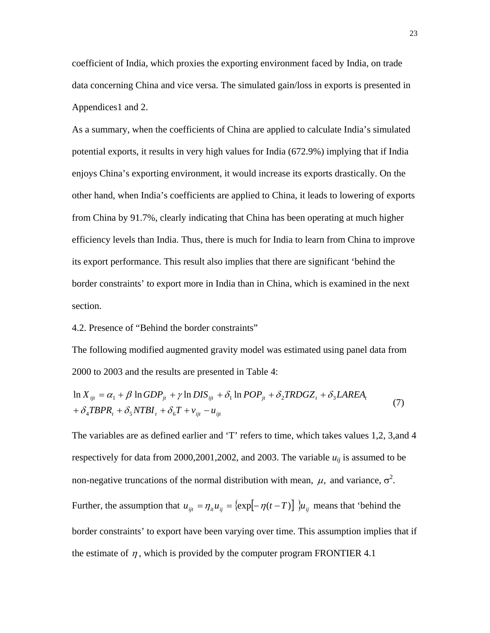coefficient of India, which proxies the exporting environment faced by India, on trade data concerning China and vice versa. The simulated gain/loss in exports is presented in Appendices1 and 2.

As a summary, when the coefficients of China are applied to calculate India's simulated potential exports, it results in very high values for India (672.9%) implying that if India enjoys China's exporting environment, it would increase its exports drastically. On the other hand, when India's coefficients are applied to China, it leads to lowering of exports from China by 91.7%, clearly indicating that China has been operating at much higher efficiency levels than India. Thus, there is much for India to learn from China to improve its export performance. This result also implies that there are significant 'behind the border constraints' to export more in India than in China, which is examined in the next section.

4.2. Presence of "Behind the border constraints"

The following modified augmented gravity model was estimated using panel data from 2000 to 2003 and the results are presented in Table 4:

$$
\ln X_{ijt} = \alpha_1 + \beta \ln GDP_{jt} + \gamma \ln DIS_{ijt} + \delta_1 \ln POP_{jt} + \delta_2 TRDGZ_t + \delta_3 LAREA_t
$$
  
+  $\delta_4 TBPR_t + \delta_5 NTBI_t + \delta_6 T + v_{ijt} - u_{ijt}$  (7)

The variables are as defined earlier and 'T' refers to time, which takes values 1,2, 3,and 4 respectively for data from 2000,2001,2002, and 2003. The variable  $u_{ij}$  is assumed to be non-negative truncations of the normal distribution with mean,  $\mu$ , and variance,  $\sigma^2$ . Further, the assumption that  $u_{ijt} = \eta_{ii} u_{ij} = {\exp[-\eta(t-T)] \mathcal{u}_{ij}}$  means that 'behind the border constraints' to export have been varying over time. This assumption implies that if the estimate of  $\eta$ , which is provided by the computer program FRONTIER 4.1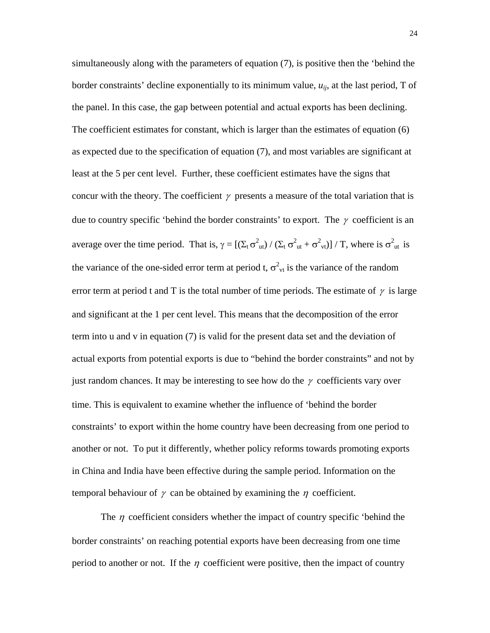simultaneously along with the parameters of equation (7), is positive then the 'behind the border constraints' decline exponentially to its minimum value,  $u_{ii}$ , at the last period, T of the panel. In this case, the gap between potential and actual exports has been declining. The coefficient estimates for constant, which is larger than the estimates of equation (6) as expected due to the specification of equation (7), and most variables are significant at least at the 5 per cent level. Further, these coefficient estimates have the signs that concur with the theory. The coefficient  $\gamma$  presents a measure of the total variation that is due to country specific 'behind the border constraints' to export. The  $\gamma$  coefficient is an average over the time period. That is,  $\gamma = [(\Sigma_t \sigma_{ut}^2) / (\Sigma_t \sigma_{ut}^2 + \sigma_{vt}^2)] / T$ , where is  $\sigma_{ut}^2$  is the variance of the one-sided error term at period t,  $\sigma_{vt}^2$  is the variance of the random error term at period t and T is the total number of time periods. The estimate of  $\gamma$  is large and significant at the 1 per cent level. This means that the decomposition of the error term into u and v in equation (7) is valid for the present data set and the deviation of actual exports from potential exports is due to "behind the border constraints" and not by just random chances. It may be interesting to see how do the  $\gamma$  coefficients vary over time. This is equivalent to examine whether the influence of 'behind the border constraints' to export within the home country have been decreasing from one period to another or not. To put it differently, whether policy reforms towards promoting exports in China and India have been effective during the sample period. Information on the temporal behaviour of  $\gamma$  can be obtained by examining the  $\eta$  coefficient.

The  $\eta$  coefficient considers whether the impact of country specific 'behind the border constraints' on reaching potential exports have been decreasing from one time period to another or not. If the  $\eta$  coefficient were positive, then the impact of country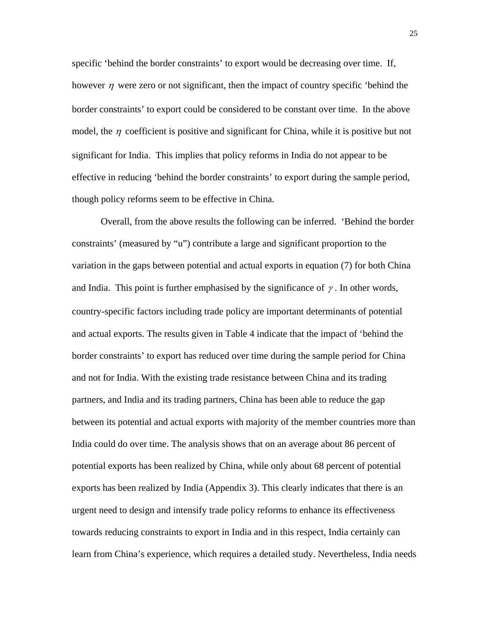specific 'behind the border constraints' to export would be decreasing over time. If, however  $\eta$  were zero or not significant, then the impact of country specific 'behind the border constraints' to export could be considered to be constant over time. In the above model, the  $\eta$  coefficient is positive and significant for China, while it is positive but not significant for India. This implies that policy reforms in India do not appear to be effective in reducing 'behind the border constraints' to export during the sample period, though policy reforms seem to be effective in China.

Overall, from the above results the following can be inferred. 'Behind the border constraints' (measured by "u") contribute a large and significant proportion to the variation in the gaps between potential and actual exports in equation (7) for both China and India. This point is further emphasised by the significance of  $\gamma$ . In other words, country-specific factors including trade policy are important determinants of potential and actual exports. The results given in Table 4 indicate that the impact of 'behind the border constraints' to export has reduced over time during the sample period for China and not for India. With the existing trade resistance between China and its trading partners, and India and its trading partners, China has been able to reduce the gap between its potential and actual exports with majority of the member countries more than India could do over time. The analysis shows that on an average about 86 percent of potential exports has been realized by China, while only about 68 percent of potential exports has been realized by India (Appendix 3). This clearly indicates that there is an urgent need to design and intensify trade policy reforms to enhance its effectiveness towards reducing constraints to export in India and in this respect, India certainly can learn from China's experience, which requires a detailed study. Nevertheless, India needs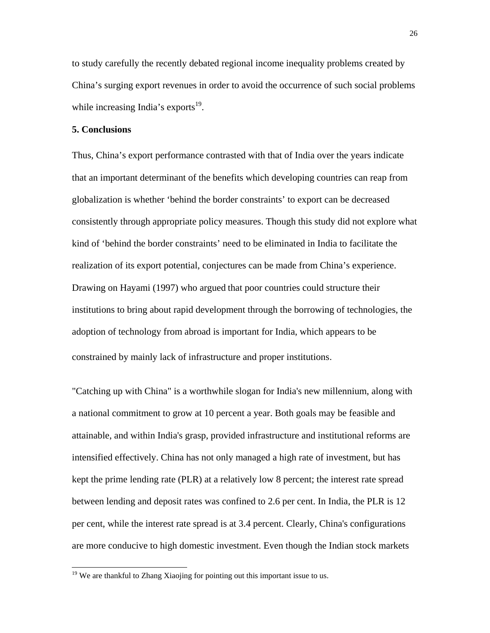to study carefully the recently debated regional income inequality problems created by China's surging export revenues in order to avoid the occurrence of such social problems while increasing India's exports $19$ .

#### **5. Conclusions**

Thus, China's export performance contrasted with that of India over the years indicate that an important determinant of the benefits which developing countries can reap from globalization is whether 'behind the border constraints' to export can be decreased consistently through appropriate policy measures. Though this study did not explore what kind of 'behind the border constraints' need to be eliminated in India to facilitate the realization of its export potential, conjectures can be made from China's experience. Drawing on Hayami (1997) who argued that poor countries could structure their institutions to bring about rapid development through the borrowing of technologies, the adoption of technology from abroad is important for India, which appears to be constrained by mainly lack of infrastructure and proper institutions.

"Catching up with China" is a worthwhile slogan for India's new millennium, along with a national commitment to grow at 10 percent a year. Both goals may be feasible and attainable, and within India's grasp, provided infrastructure and institutional reforms are intensified effectively. China has not only managed a high rate of investment, but has kept the prime lending rate (PLR) at a relatively low 8 percent; the interest rate spread between lending and deposit rates was confined to 2.6 per cent. In India, the PLR is 12 per cent, while the interest rate spread is at 3.4 percent. Clearly, China's configurations are more conducive to high domestic investment. Even though the Indian stock markets

 $19$  We are thankful to Zhang Xiaojing for pointing out this important issue to us.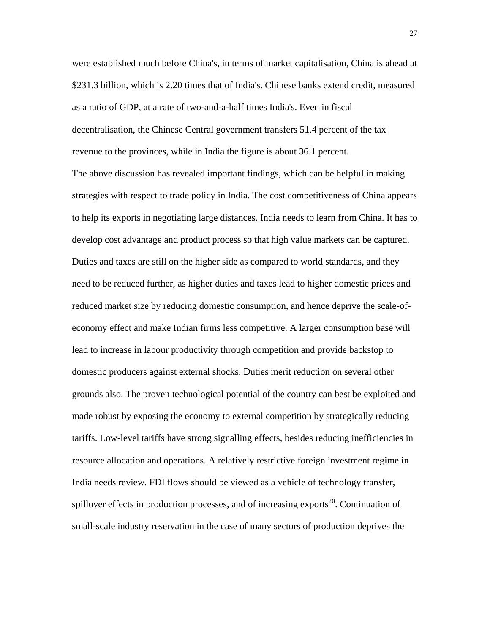were established much before China's, in terms of market capitalisation, China is ahead at \$231.3 billion, which is 2.20 times that of India's. Chinese banks extend credit, measured as a ratio of GDP, at a rate of two-and-a-half times India's. Even in fiscal decentralisation, the Chinese Central government transfers 51.4 percent of the tax revenue to the provinces, while in India the figure is about 36.1 percent.

The above discussion has revealed important findings, which can be helpful in making strategies with respect to trade policy in India. The cost competitiveness of China appears to help its exports in negotiating large distances. India needs to learn from China. It has to develop cost advantage and product process so that high value markets can be captured. Duties and taxes are still on the higher side as compared to world standards, and they need to be reduced further, as higher duties and taxes lead to higher domestic prices and reduced market size by reducing domestic consumption, and hence deprive the scale-ofeconomy effect and make Indian firms less competitive. A larger consumption base will lead to increase in labour productivity through competition and provide backstop to domestic producers against external shocks. Duties merit reduction on several other grounds also. The proven technological potential of the country can best be exploited and made robust by exposing the economy to external competition by strategically reducing tariffs. Low-level tariffs have strong signalling effects, besides reducing inefficiencies in resource allocation and operations. A relatively restrictive foreign investment regime in India needs review. FDI flows should be viewed as a vehicle of technology transfer, spillover effects in production processes, and of increasing exports<sup>20</sup>. Continuation of small-scale industry reservation in the case of many sectors of production deprives the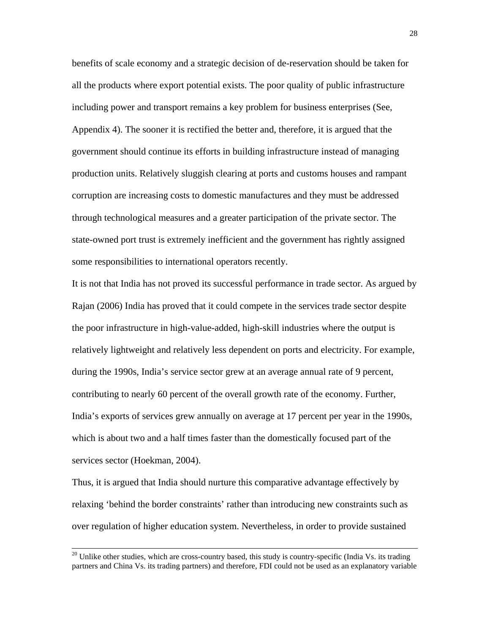benefits of scale economy and a strategic decision of de-reservation should be taken for all the products where export potential exists. The poor quality of public infrastructure including power and transport remains a key problem for business enterprises (See, Appendix 4). The sooner it is rectified the better and, therefore, it is argued that the government should continue its efforts in building infrastructure instead of managing production units. Relatively sluggish clearing at ports and customs houses and rampant corruption are increasing costs to domestic manufactures and they must be addressed through technological measures and a greater participation of the private sector. The state-owned port trust is extremely inefficient and the government has rightly assigned some responsibilities to international operators recently.

It is not that India has not proved its successful performance in trade sector. As argued by Rajan (2006) India has proved that it could compete in the services trade sector despite the poor infrastructure in high-value-added, high-skill industries where the output is relatively lightweight and relatively less dependent on ports and electricity. For example, during the 1990s, India's service sector grew at an average annual rate of 9 percent, contributing to nearly 60 percent of the overall growth rate of the economy. Further, India's exports of services grew annually on average at 17 percent per year in the 1990s, which is about two and a half times faster than the domestically focused part of the services sector (Hoekman, 2004).

Thus, it is argued that India should nurture this comparative advantage effectively by relaxing 'behind the border constraints' rather than introducing new constraints such as over regulation of higher education system. Nevertheless, in order to provide sustained

 $20$  Unlike other studies, which are cross-country based, this study is country-specific (India Vs. its trading partners and China Vs. its trading partners) and therefore, FDI could not be used as an explanatory variable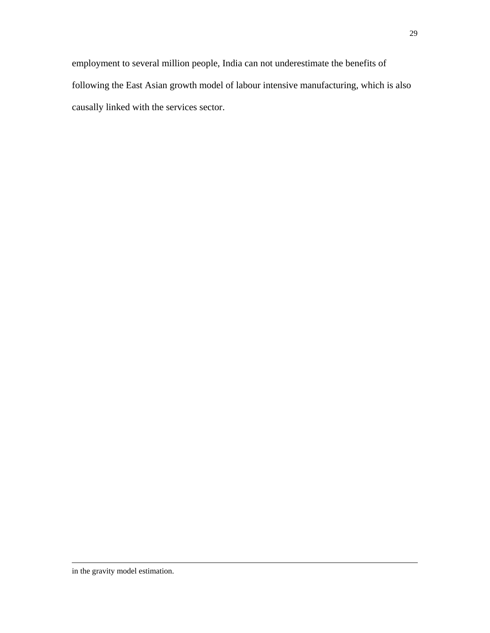employment to several million people, India can not underestimate the benefits of following the East Asian growth model of labour intensive manufacturing, which is also causally linked with the services sector.

 $\overline{a}$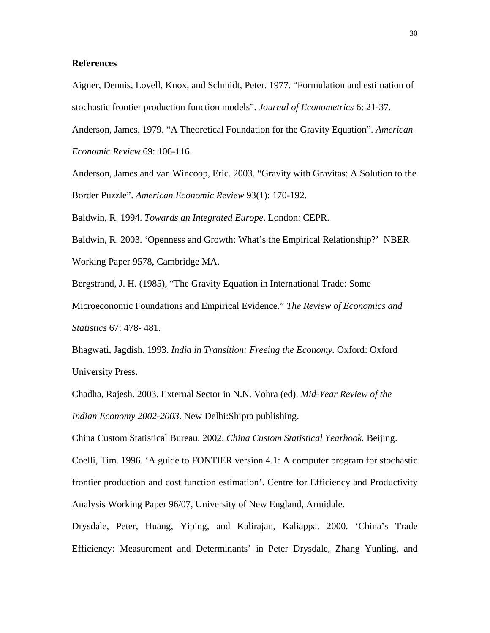#### **References**

Aigner, Dennis, Lovell, Knox, and Schmidt, Peter. 1977. "Formulation and estimation of stochastic frontier production function models". *Journal of Econometrics* 6: 21-37.

Anderson, James. 1979. "A Theoretical Foundation for the Gravity Equation". *American Economic Review* 69: 106-116.

Anderson, James and van Wincoop, Eric. 2003. "Gravity with Gravitas: A Solution to the Border Puzzle". *American Economic Review* 93(1): 170-192.

Baldwin, R. 1994. *Towards an Integrated Europe*. London: CEPR.

Baldwin, R. 2003. 'Openness and Growth: What's the Empirical Relationship?' NBER Working Paper 9578, Cambridge MA.

Bergstrand, J. H. (1985), "The Gravity Equation in International Trade: Some

Microeconomic Foundations and Empirical Evidence." *The Review of Economics and Statistics* 67: 478- 481.

Bhagwati, Jagdish. 1993. *India in Transition: Freeing the Economy.* Oxford: Oxford University Press.

Chadha, Rajesh. 2003. External Sector in N.N. Vohra (ed). *Mid-Year Review of the Indian Economy 2002-2003*. New Delhi:Shipra publishing.

China Custom Statistical Bureau. 2002. *China Custom Statistical Yearbook.* Beijing.

Coelli, Tim. 1996. 'A guide to FONTIER version 4.1: A computer program for stochastic frontier production and cost function estimation'. Centre for Efficiency and Productivity Analysis Working Paper 96/07, University of New England, Armidale.

Drysdale, Peter, Huang, Yiping, and Kalirajan, Kaliappa. 2000. 'China's Trade Efficiency: Measurement and Determinants' in Peter Drysdale, Zhang Yunling, and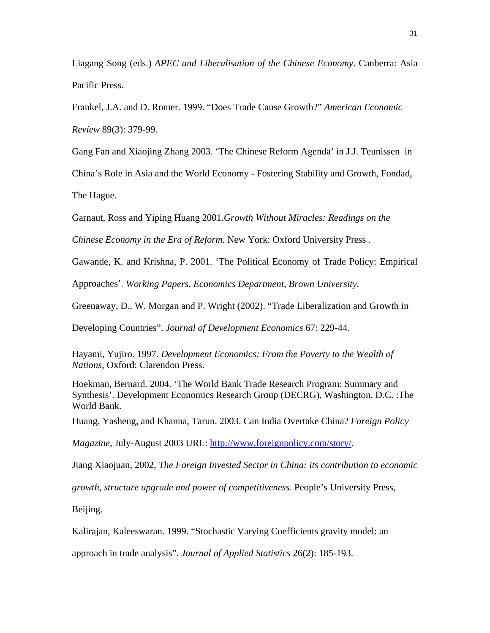Liagang Song (eds.) *APEC and Liberalisation of the Chinese Economy*. Canberra: Asia Pacific Press.

Frankel, J.A. and D. Romer. 1999. "Does Trade Cause Growth?" *American Economic* 

*Review* 89(3): 379-99.

Gang Fan and Xiaojing Zhang 2003. 'The Chinese Reform Agenda' in J.J. Teunissen in

China's Role in Asia and the World Economy - Fostering Stability and Growth, Fondad,

The Hague.

Garnaut, Ross and Yiping Huang 2001.*Growth Without Miracles: Readings on the* 

*Chinese Economy in the Era of Reform.* New York: Oxford University Press .

Gawande, K. and Krishna, P. 2001. 'The Political Economy of Trade Policy: Empirical

Approaches'. *Working Papers, Economics Department, Brown University*.

Greenaway, D., W. Morgan and P. Wright (2002). "Trade Liberalization and Growth in

Developing Countries". *Journal of Development Economics* 67: 229-44.

Hayami, Yujiro. 1997. *Development Economics: From the Poverty to the Wealth of Nations*, Oxford: Clarendon Press.

Hoekman, Bernard. 2004. 'The World Bank Trade Research Program: Summary and Synthesis'. Development Economics Research Group (DECRG), Washington, D.C. :The World Bank.

Huang, Yasheng, and Khanna, Tarun. 2003. Can India Overtake China? *Foreign Policy* 

*Magazine*, July-August 2003 URL: http://www.foreignpolicy.com/story/.

Jiang Xiaojuan, 2002, *The Foreign Invested Sector in China: its contribution to economic* 

*growth, structure upgrade and power of competitiveness*. People's University Press,

Beijing.

Kalirajan, Kaleeswaran. 1999. "Stochastic Varying Coefficients gravity model: an

approach in trade analysis". *Journal of Applied Statistics* 26(2): 185-193.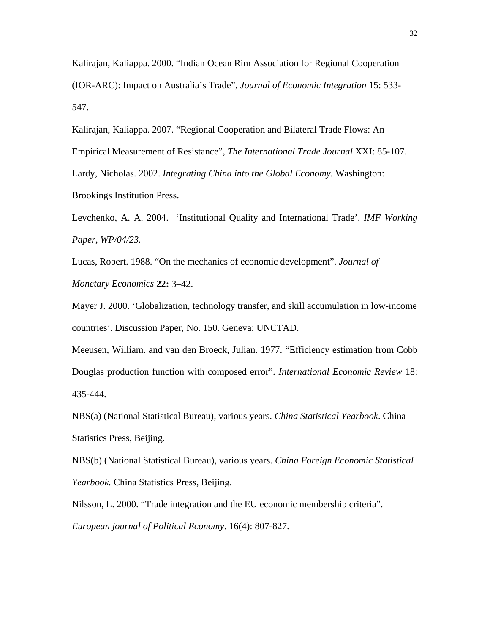Kalirajan, Kaliappa. 2000. "Indian Ocean Rim Association for Regional Cooperation (IOR-ARC): Impact on Australia's Trade", *Journal of Economic Integration* 15: 533- 547.

Kalirajan, Kaliappa. 2007. "Regional Cooperation and Bilateral Trade Flows: An Empirical Measurement of Resistance", *The International Trade Journal* XXI: 85-107. Lardy, Nicholas. 2002. *Integrating China into the Global Economy.* Washington: Brookings Institution Press.

Levchenko, A. A. 2004. 'Institutional Quality and International Trade'. *IMF Working Paper, WP/04/23.* 

Lucas, Robert. 1988. "On the mechanics of economic development". *Journal of Monetary Economics* **22:** 3–42.

Mayer J. 2000. 'Globalization, technology transfer, and skill accumulation in low-income countries'. Discussion Paper, No. 150. Geneva: UNCTAD.

Meeusen, William. and van den Broeck, Julian. 1977. "Efficiency estimation from Cobb Douglas production function with composed error". *International Economic Review* 18: 435-444.

NBS(a) (National Statistical Bureau), various years. *China Statistical Yearbook*. China Statistics Press, Beijing.

NBS(b) (National Statistical Bureau), various years. *China Foreign Economic Statistical Yearbook.* China Statistics Press, Beijing.

Nilsson, L. 2000. "Trade integration and the EU economic membership criteria". *European journal of Political Economy*. 16(4): 807-827.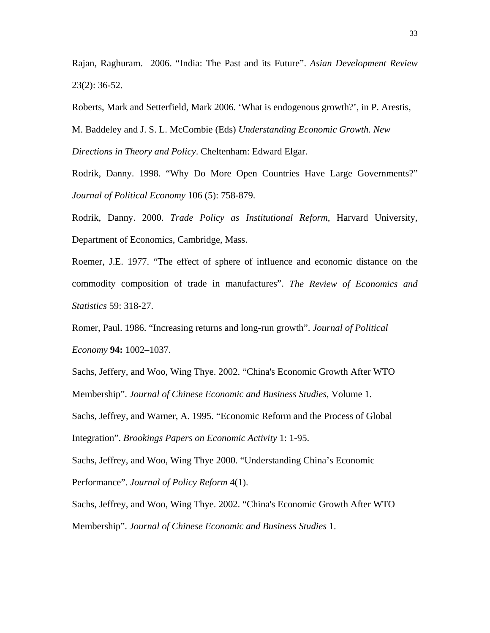Rajan, Raghuram. 2006. "India: The Past and its Future". *Asian Development Review* 23(2): 36-52.

Roberts, Mark and Setterfield, Mark 2006. 'What is endogenous growth?', in P. Arestis,

M. Baddeley and J. S. L. McCombie (Eds) *Understanding Economic Growth. New* 

*Directions in Theory and Policy*. Cheltenham: Edward Elgar.

Rodrik, Danny. 1998. "Why Do More Open Countries Have Large Governments?" *Journal of Political Economy* 106 (5): 758-879.

Rodrik, Danny. 2000. *Trade Policy as Institutional Reform*, Harvard University, Department of Economics, Cambridge, Mass.

Roemer, J.E. 1977. "The effect of sphere of influence and economic distance on the commodity composition of trade in manufactures". *The Review of Economics and Statistics* 59: 318-27.

Romer, Paul. 1986. "Increasing returns and long-run growth". *Journal of Political Economy* **94:** 1002–1037.

Sachs, Jeffery, and Woo, Wing Thye. 2002. "China's Economic Growth After WTO Membership". *Journal of Chinese Economic and Business Studies*, Volume 1. Sachs, Jeffrey, and Warner, A. 1995. "Economic Reform and the Process of Global Integration". *Brookings Papers on Economic Activity* 1: 1-95.

Sachs, Jeffrey, and Woo, Wing Thye 2000. "Understanding China's Economic Performance". *Journal of Policy Reform* 4(1).

Sachs, Jeffrey, and Woo, Wing Thye. 2002. "China's Economic Growth After WTO Membership". *Journal of Chinese Economic and Business Studies* 1.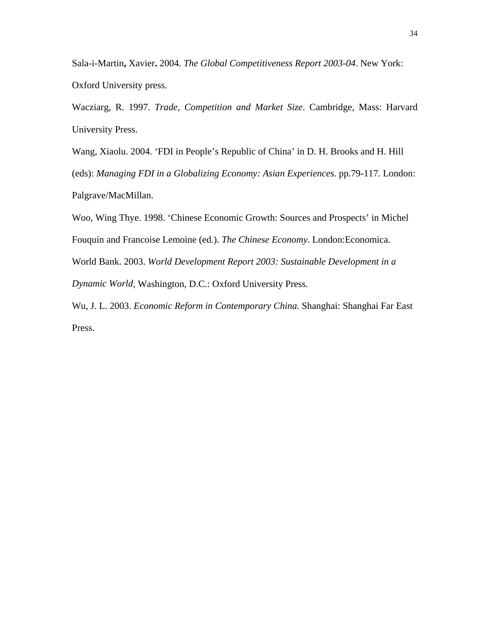Sala-i-Martin**,** Xavier**.** 2004. *The Global Competitiveness Report 2003-04*. New York: Oxford University press.

Wacziarg, R. 1997. *Trade, Competition and Market Size*. Cambridge, Mass: Harvard University Press.

Wang, Xiaolu. 2004. 'FDI in People's Republic of China' in D. H. Brooks and H. Hill

(eds): *Managing FDI in a Globalizing Economy: Asian Experiences.* pp.79-117*.* London: Palgrave/MacMillan.

Woo, Wing Thye. 1998. 'Chinese Economic Growth: Sources and Prospects' in Michel Fouquin and Francoise Lemoine (ed.). *The Chinese Economy*. London:Economica. World Bank. 2003. *World Development Report 2003: Sustainable Development in a Dynamic World*, Washington, D.C.: Oxford University Press. Wu, J. L. 2003. *Economic Reform in Contemporary China.* Shanghai: Shanghai Far East

Press.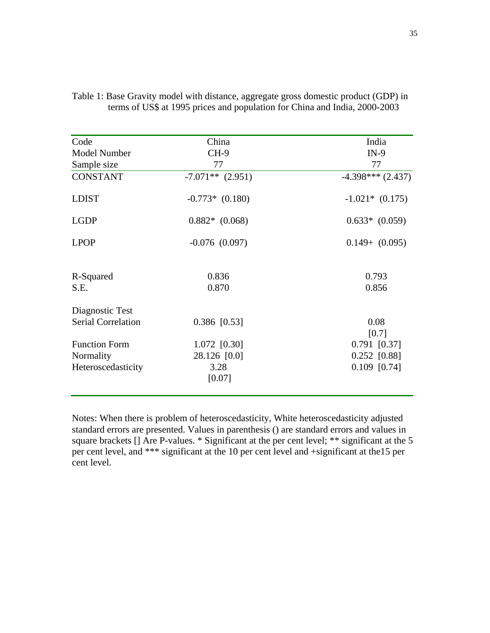| China              | India               |  |  |  |
|--------------------|---------------------|--|--|--|
| CH-9               | $IN-9$              |  |  |  |
| 77                 | 77                  |  |  |  |
| $-7.071**$ (2.951) | $-4.398***$ (2.437) |  |  |  |
| $-0.773*$ (0.180)  | $-1.021*$ (0.175)   |  |  |  |
| $0.882*$ $(0.068)$ | $0.633*$ $(0.059)$  |  |  |  |
| $-0.076$ $(0.097)$ | $0.149 + (0.095)$   |  |  |  |
| 0.836              | 0.793               |  |  |  |
| 0.870              | 0.856               |  |  |  |
|                    |                     |  |  |  |
| $0.386$ [0.53]     | 0.08<br>[0.7]       |  |  |  |
| 1.072 [0.30]       | $0.791$ [0.37]      |  |  |  |
| 28.126 [0.0]       | $0.252$ [0.88]      |  |  |  |
| 3.28<br>[0.07]     | $0.109$ [0.74]      |  |  |  |
|                    |                     |  |  |  |

|  | Table 1: Base Gravity model with distance, aggregate gross domestic product (GDP) in |
|--|--------------------------------------------------------------------------------------|
|  | terms of US\$ at 1995 prices and population for China and India, 2000-2003           |

Notes: When there is problem of heteroscedasticity, White heteroscedasticity adjusted standard errors are presented. Values in parenthesis () are standard errors and values in square brackets [] Are P-values. \* Significant at the per cent level; \*\* significant at the 5 per cent level, and \*\*\* significant at the 10 per cent level and +significant at the15 per cent level.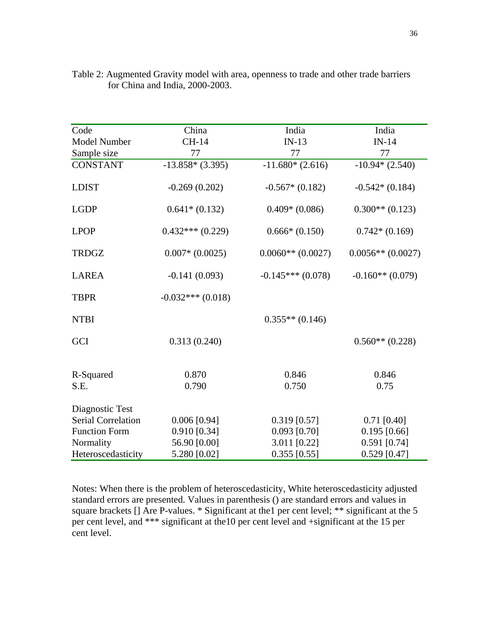| Code                 | China               | India               | India               |  |  |
|----------------------|---------------------|---------------------|---------------------|--|--|
| Model Number         | CH-14               | $IN-13$             | $IN-14$             |  |  |
| Sample size          | 77                  | 77                  | 77                  |  |  |
| <b>CONSTANT</b>      | $-13.858*(3.395)$   | $-11.680*(2.616)$   | $-10.94*(2.540)$    |  |  |
|                      |                     |                     |                     |  |  |
| <b>LDIST</b>         | $-0.269(0.202)$     | $-0.567*(0.182)$    | $-0.542*(0.184)$    |  |  |
| <b>LGDP</b>          | $0.641*(0.132)$     | $0.409*(0.086)$     | $0.300**$ (0.123)   |  |  |
| <b>LPOP</b>          | $0.432***(0.229)$   | $0.666*(0.150)$     | $0.742*(0.169)$     |  |  |
| <b>TRDGZ</b>         | $0.007*$ $(0.0025)$ | $0.0060**$ (0.0027) | $0.0056**$ (0.0027) |  |  |
| <b>LAREA</b>         | $-0.141(0.093)$     | $-0.145***(0.078)$  | $-0.160**$ (0.079)  |  |  |
| <b>TBPR</b>          | $-0.032***(0.018)$  |                     |                     |  |  |
| <b>NTBI</b>          |                     | $0.355**$ (0.146)   |                     |  |  |
| GCI                  | 0.313(0.240)        |                     | $0.560**$ (0.228)   |  |  |
| R-Squared            | 0.870               | 0.846               | 0.846               |  |  |
| S.E.                 | 0.790               | 0.750               | 0.75                |  |  |
| Diagnostic Test      |                     |                     |                     |  |  |
| Serial Correlation   | $0.006$ [0.94]      | $0.319$ [0.57]      | $0.71$ [0.40]       |  |  |
| <b>Function Form</b> | $0.910$ [0.34]      | $0.093$ [0.70]      | $0.195$ [0.66]      |  |  |
| Normality            | 56.90 [0.00]        | 3.011 [0.22]        | $0.591$ [0.74]      |  |  |
| Heteroscedasticity   | 5.280 [0.02]        | $0.355$ [0.55]      | $0.529$ [0.47]      |  |  |

Table 2: Augmented Gravity model with area, openness to trade and other trade barriers for China and India, 2000-2003.

Notes: When there is the problem of heteroscedasticity, White heteroscedasticity adjusted standard errors are presented. Values in parenthesis () are standard errors and values in square brackets [] Are P-values. \* Significant at the1 per cent level; \*\* significant at the 5 per cent level, and \*\*\* significant at the10 per cent level and +significant at the 15 per cent level.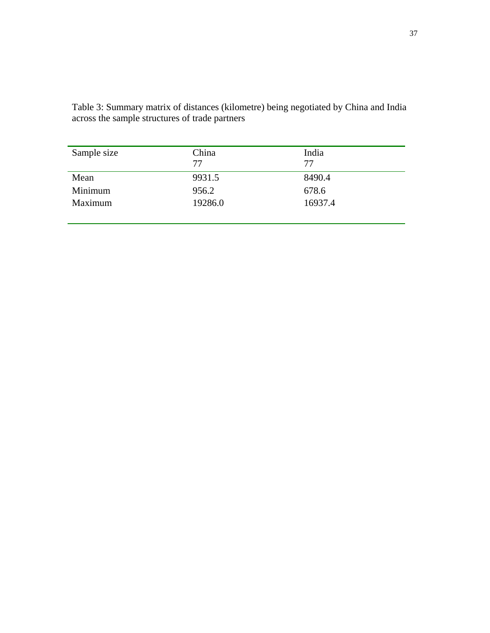| Sample size | China<br>77 | India<br>77 |  |  |  |
|-------------|-------------|-------------|--|--|--|
| Mean        | 9931.5      | 8490.4      |  |  |  |
| Minimum     | 956.2       | 678.6       |  |  |  |
| Maximum     | 19286.0     | 16937.4     |  |  |  |
|             |             |             |  |  |  |

Table 3: Summary matrix of distances (kilometre) being negotiated by China and India across the sample structures of trade partners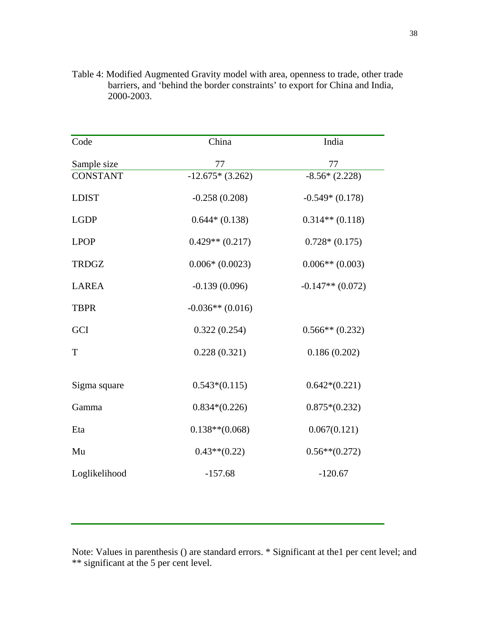| Code            | China               | India              |
|-----------------|---------------------|--------------------|
| Sample size     | 77                  | 77                 |
| <b>CONSTANT</b> | $-12.675*(3.262)$   | $-8.56*(2.228)$    |
| <b>LDIST</b>    | $-0.258(0.208)$     | $-0.549*(0.178)$   |
| <b>LGDP</b>     | $0.644*(0.138)$     | $0.314**$ (0.118)  |
| <b>LPOP</b>     | $0.429**$ $(0.217)$ | $0.728*(0.175)$    |
| <b>TRDGZ</b>    | $0.006*(0.0023)$    | $0.006**$ (0.003)  |
| <b>LAREA</b>    | $-0.139(0.096)$     | $-0.147**$ (0.072) |
| <b>TBPR</b>     | $-0.036**$ (0.016)  |                    |
| GCI             | 0.322(0.254)        | $0.566**$ (0.232)  |
| T               | 0.228(0.321)        | 0.186(0.202)       |
|                 |                     |                    |
| Sigma square    | $0.543*(0.115)$     | $0.642*(0.221)$    |
| Gamma           | $0.834*(0.226)$     | $0.875*(0.232)$    |
| Eta             | $0.138**$ (0.068)   | 0.067(0.121)       |
| Mu              | $0.43**(0.22)$      | $0.56**$ (0.272)   |
| Loglikelihood   | $-157.68$           | $-120.67$          |

Table 4: Modified Augmented Gravity model with area, openness to trade, other trade barriers, and 'behind the border constraints' to export for China and India, 2000-2003.

Note: Values in parenthesis () are standard errors. \* Significant at the1 per cent level; and \*\* significant at the 5 per cent level.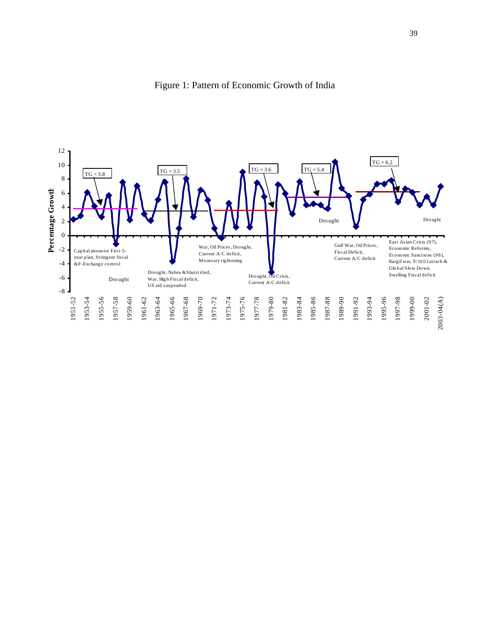

Figure 1: Pattern of Economic Growth of India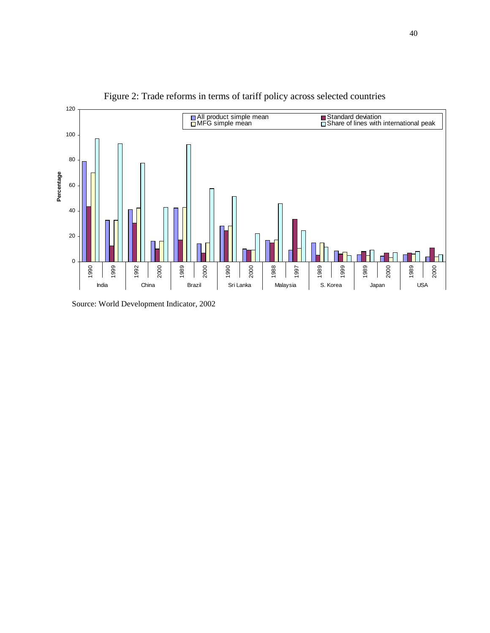

Figure 2: Trade reforms in terms of tariff policy across selected countries

Source: World Development Indicator, 2002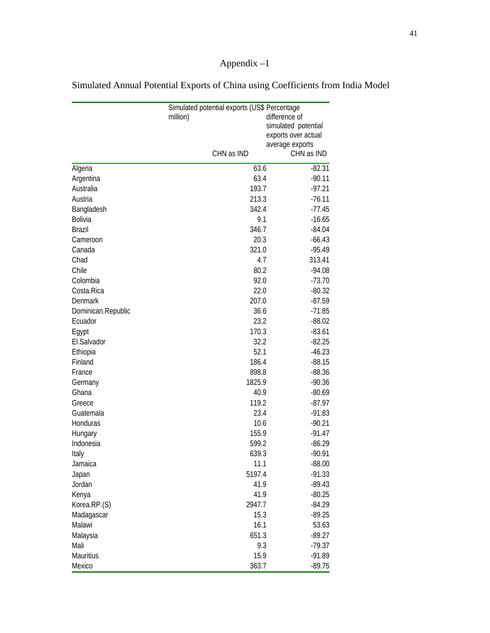# Appendix –1

|                    |            | Simulated potential exports (US\$ Percentage |  |  |  |  |  |
|--------------------|------------|----------------------------------------------|--|--|--|--|--|
|                    | million)   | difference of                                |  |  |  |  |  |
|                    |            | simulated potential                          |  |  |  |  |  |
|                    |            | exports over actual                          |  |  |  |  |  |
|                    |            | average exports                              |  |  |  |  |  |
|                    | CHN as IND | CHN as IND                                   |  |  |  |  |  |
| Algeria            | 63.6       | $-82.31$                                     |  |  |  |  |  |
| Argentina          | 63.4       | $-90.11$                                     |  |  |  |  |  |
| Australia          | 193.7      | $-97.21$                                     |  |  |  |  |  |
| Austria            | 213.3      | $-76.11$                                     |  |  |  |  |  |
| Bangladesh         | 342.4      | $-77.45$                                     |  |  |  |  |  |
| Bolivia            | 9.1        | $-16.65$                                     |  |  |  |  |  |
| <b>Brazil</b>      | 346.7      | $-84.04$                                     |  |  |  |  |  |
| Cameroon           | 20.3       | $-66.43$                                     |  |  |  |  |  |
| Canada             | 321.0      | $-95.49$                                     |  |  |  |  |  |
| Chad               | 4.7        | 313.41                                       |  |  |  |  |  |
| Chile              | 80.2       | $-94.08$                                     |  |  |  |  |  |
| Colombia           | 92.0       | $-73.70$                                     |  |  |  |  |  |
| Costa.Rica         | 22.0       | $-80.32$                                     |  |  |  |  |  |
| <b>Denmark</b>     | 207.0      | $-87.59$                                     |  |  |  |  |  |
| Dominican.Republic | 36.6       | $-71.85$                                     |  |  |  |  |  |
| Ecuador            | 23.2       | $-88.02$                                     |  |  |  |  |  |
| Egypt              | 170.3      | $-83.61$                                     |  |  |  |  |  |
| El.Salvador        | 32.2       | $-82.25$                                     |  |  |  |  |  |
| Ethiopia           | 52.1       | $-46.23$                                     |  |  |  |  |  |
| Finland            | 186.4      | $-88.15$                                     |  |  |  |  |  |
| France             | 898.8      | $-88.36$                                     |  |  |  |  |  |
| Germany            | 1825.9     | $-90.36$                                     |  |  |  |  |  |
| Ghana              | 40.9       | $-80.69$                                     |  |  |  |  |  |
| Greece             | 119.2      | $-87.97$                                     |  |  |  |  |  |
| Guatemala          | 23.4       | $-91.83$                                     |  |  |  |  |  |
| Honduras           | 10.6       | $-90.21$                                     |  |  |  |  |  |
| Hungary            | 155.9      | $-91.47$                                     |  |  |  |  |  |
| Indonesia          | 599.2      | $-86.29$                                     |  |  |  |  |  |
| Italy              | 639.3      | $-90.91$                                     |  |  |  |  |  |
| Jamaica            | 11.1       | $-88.00$                                     |  |  |  |  |  |
| Japan              | 5197.4     | $-91.33$                                     |  |  |  |  |  |
| Jordan             | 41.9       | $-89.43$                                     |  |  |  |  |  |
| Kenya              | 41.9       | $-80.25$                                     |  |  |  |  |  |
| Korea.RP.(S)       | 2947.7     | $-84.29$                                     |  |  |  |  |  |
| Madagascar         | 15.3       | $-89.25$                                     |  |  |  |  |  |
| Malawi             | 16.1       | 53.63                                        |  |  |  |  |  |
| Malaysia           | 651.3      | $-89.27$                                     |  |  |  |  |  |
| Mali               | 9.3        | $-79.37$                                     |  |  |  |  |  |
| Mauritius          | 15.9       | $-91.89$                                     |  |  |  |  |  |
| Mexico             | 363.7      | $-89.75$                                     |  |  |  |  |  |

Simulated Annual Potential Exports of China using Coefficients from India Model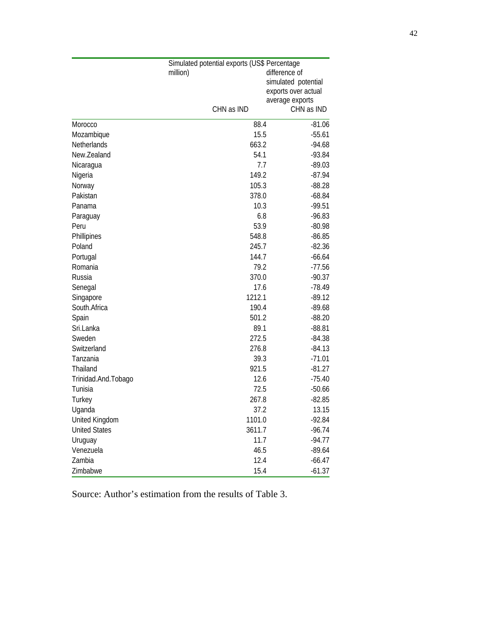| Simulated potential exports (US\$ Percentage |            |                     |  |  |  |  |  |
|----------------------------------------------|------------|---------------------|--|--|--|--|--|
|                                              | million)   | difference of       |  |  |  |  |  |
|                                              |            | simulated potential |  |  |  |  |  |
|                                              |            | exports over actual |  |  |  |  |  |
|                                              |            | average exports     |  |  |  |  |  |
|                                              | CHN as IND | CHN as IND          |  |  |  |  |  |
| Morocco                                      | 88.4       | $-81.06$            |  |  |  |  |  |
| Mozambique                                   | 15.5       | $-55.61$            |  |  |  |  |  |
| Netherlands                                  | 663.2      | $-94.68$            |  |  |  |  |  |
| New.Zealand                                  | 54.1       | $-93.84$            |  |  |  |  |  |
| Nicaragua                                    | 7.7        | $-89.03$            |  |  |  |  |  |
| Nigeria                                      | 149.2      | $-87.94$            |  |  |  |  |  |
| Norway                                       | 105.3      | $-88.28$            |  |  |  |  |  |
| Pakistan                                     | 378.0      | $-68.84$            |  |  |  |  |  |
| Panama                                       | 10.3       | $-99.51$            |  |  |  |  |  |
| Paraguay                                     | 6.8        | $-96.83$            |  |  |  |  |  |
| Peru                                         | 53.9       | $-80.98$            |  |  |  |  |  |
| Phillipines                                  | 548.8      | $-86.85$            |  |  |  |  |  |
| Poland                                       | 245.7      | $-82.36$            |  |  |  |  |  |
| Portugal                                     | 144.7      | $-66.64$            |  |  |  |  |  |
| Romania                                      | 79.2       | $-77.56$            |  |  |  |  |  |
| Russia                                       | 370.0      | $-90.37$            |  |  |  |  |  |
| Senegal                                      | 17.6       | $-78.49$            |  |  |  |  |  |
| Singapore                                    | 1212.1     | $-89.12$            |  |  |  |  |  |
| South.Africa                                 | 190.4      | $-89.68$            |  |  |  |  |  |
| Spain                                        | 501.2      | $-88.20$            |  |  |  |  |  |
| Sri.Lanka                                    | 89.1       | $-88.81$            |  |  |  |  |  |
| Sweden                                       | 272.5      | $-84.38$            |  |  |  |  |  |
| Switzerland                                  | 276.8      | $-84.13$            |  |  |  |  |  |
| Tanzania                                     | 39.3       | $-71.01$            |  |  |  |  |  |
| Thailand                                     | 921.5      | $-81.27$            |  |  |  |  |  |
| Trinidad.And.Tobago                          | 12.6       | $-75.40$            |  |  |  |  |  |
| Tunisia                                      | 72.5       | $-50.66$            |  |  |  |  |  |
| Turkey                                       | 267.8      | $-82.85$            |  |  |  |  |  |
| Uganda                                       | 37.2       | 13.15               |  |  |  |  |  |
| United Kingdom                               | 1101.0     | $-92.84$            |  |  |  |  |  |
| <b>United States</b>                         | 3611.7     | $-96.74$            |  |  |  |  |  |
| Uruguay                                      | 11.7       | $-94.77$            |  |  |  |  |  |
| Venezuela                                    | 46.5       | $-89.64$            |  |  |  |  |  |
| Zambia                                       | 12.4       | $-66.47$            |  |  |  |  |  |
| Zimbabwe                                     | 15.4       | $-61.37$            |  |  |  |  |  |

Source: Author's estimation from the results of Table 3.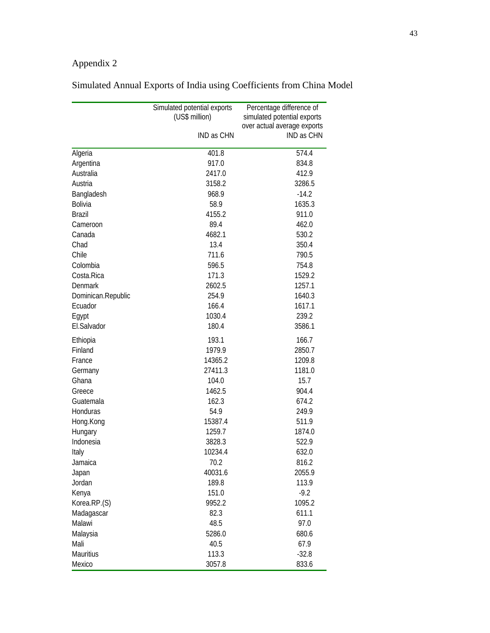# Appendix 2

|                    | Simulated potential exports | Percentage difference of    |
|--------------------|-----------------------------|-----------------------------|
|                    | (US\$ million)              | simulated potential exports |
|                    |                             | over actual average exports |
|                    | IND as CHN                  | IND as CHN                  |
| Algeria            | 401.8                       | 574.4                       |
| Argentina          | 917.0                       | 834.8                       |
| Australia          | 2417.0                      | 412.9                       |
| Austria            | 3158.2                      | 3286.5                      |
| Bangladesh         | 968.9                       | $-14.2$                     |
| <b>Bolivia</b>     | 58.9                        | 1635.3                      |
| <b>Brazil</b>      | 4155.2                      | 911.0                       |
| Cameroon           | 89.4                        | 462.0                       |
| Canada             | 4682.1                      | 530.2                       |
| Chad               | 13.4                        | 350.4                       |
| Chile              | 711.6                       | 790.5                       |
| Colombia           | 596.5                       | 754.8                       |
| Costa.Rica         | 171.3                       | 1529.2                      |
| <b>Denmark</b>     | 2602.5                      | 1257.1                      |
| Dominican.Republic | 254.9                       | 1640.3                      |
| Ecuador            | 166.4                       | 1617.1                      |
| Egypt              | 1030.4                      | 239.2                       |
| El.Salvador        | 180.4                       | 3586.1                      |
| Ethiopia           | 193.1                       | 166.7                       |
| Finland            | 1979.9                      | 2850.7                      |
| France             | 14365.2                     | 1209.8                      |
| Germany            | 27411.3                     | 1181.0                      |
| Ghana              | 104.0                       | 15.7                        |
| Greece             | 1462.5                      | 904.4                       |
| Guatemala          | 162.3                       | 674.2                       |
| Honduras           | 54.9                        | 249.9                       |
| Hong.Kong          | 15387.4                     | 511.9                       |
| Hungary            | 1259.7                      | 1874.0                      |
| Indonesia          | 3828.3                      | 522.9                       |
| Italy              | 10234.4                     | 632.0                       |
| Jamaica            | 70.2                        | 816.2                       |
| Japan              | 40031.6                     | 2055.9                      |
| Jordan             | 189.8                       | 113.9                       |
| Kenya              | 151.0                       | $-9.2$                      |
| Korea.RP.(S)       | 9952.2                      | 1095.2                      |
| Madagascar         | 82.3                        | 611.1                       |
| Malawi             | 48.5                        | 97.0                        |
| Malaysia           | 5286.0                      | 680.6                       |
| Mali               | 40.5                        | 67.9                        |
| Mauritius          | 113.3                       | $-32.8$                     |
| Mexico             | 3057.8                      | 833.6                       |

# Simulated Annual Exports of India using Coefficients from China Model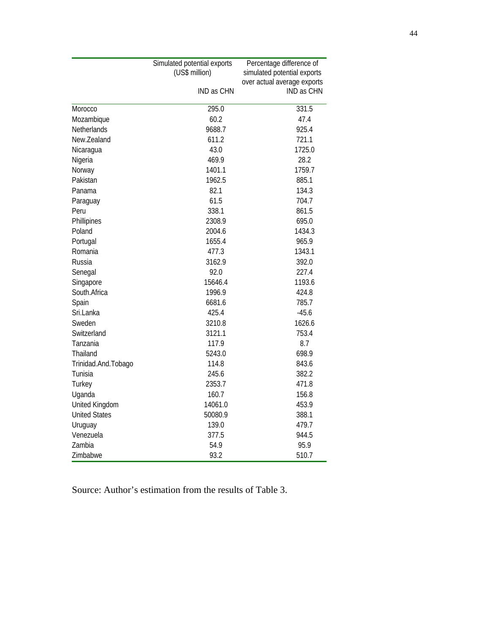|                      | Simulated potential exports | Percentage difference of    |
|----------------------|-----------------------------|-----------------------------|
|                      | (US\$ million)              | simulated potential exports |
|                      |                             | over actual average exports |
|                      | IND as CHN                  | <b>IND as CHN</b>           |
| Morocco              | 295.0                       | 331.5                       |
| Mozambique           | 60.2                        | 47.4                        |
| Netherlands          | 9688.7                      | 925.4                       |
| New.Zealand          | 611.2                       | 721.1                       |
| Nicaragua            | 43.0                        | 1725.0                      |
| Nigeria              | 469.9                       | 28.2                        |
| Norway               | 1401.1                      | 1759.7                      |
| Pakistan             | 1962.5                      | 885.1                       |
| Panama               | 82.1                        | 134.3                       |
| Paraguay             | 61.5                        | 704.7                       |
| Peru                 | 338.1                       | 861.5                       |
| Phillipines          | 2308.9                      | 695.0                       |
| Poland               | 2004.6                      | 1434.3                      |
| Portugal             | 1655.4                      | 965.9                       |
| Romania              | 477.3                       | 1343.1                      |
| Russia               | 3162.9                      | 392.0                       |
| Senegal              | 92.0                        | 227.4                       |
| Singapore            | 15646.4                     | 1193.6                      |
| South.Africa         | 1996.9                      | 424.8                       |
| Spain                | 6681.6                      | 785.7                       |
| Sri.Lanka            | 425.4                       | $-45.6$                     |
| Sweden               | 3210.8                      | 1626.6                      |
| Switzerland          | 3121.1                      | 753.4                       |
| Tanzania             | 117.9                       | 8.7                         |
| Thailand             | 5243.0                      | 698.9                       |
| Trinidad.And.Tobago  | 114.8                       | 843.6                       |
| Tunisia              | 245.6                       | 382.2                       |
| Turkey               | 2353.7                      | 471.8                       |
| Uganda               | 160.7                       | 156.8                       |
| United Kingdom       | 14061.0                     | 453.9                       |
| <b>United States</b> | 50080.9                     | 388.1                       |
| Uruguay              | 139.0                       | 479.7                       |
| Venezuela            | 377.5                       | 944.5                       |
| Zambia               | 54.9                        | 95.9                        |
| Zimbabwe             | 93.2                        | 510.7                       |

Source: Author's estimation from the results of Table 3.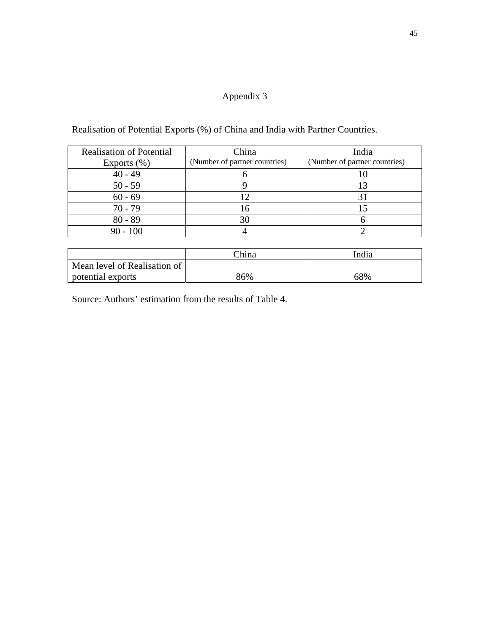## Appendix 3

Realisation of Potential Exports (%) of China and India with Partner Countries.

| <b>Realisation of Potential</b> | China                         | India                         |
|---------------------------------|-------------------------------|-------------------------------|
| Exports $(\% )$                 | (Number of partner countries) | (Number of partner countries) |
| $40 - 49$                       |                               |                               |
| $50 - 59$                       |                               |                               |
| $60 - 69$                       |                               |                               |
| $70 - 79$                       |                               |                               |
| $80 - 89$                       |                               |                               |
| $90 - 100$                      |                               |                               |

|                              | China | India |
|------------------------------|-------|-------|
| Mean level of Realisation of |       |       |
| potential exports            | 86%   | 68%   |

Source: Authors' estimation from the results of Table 4.